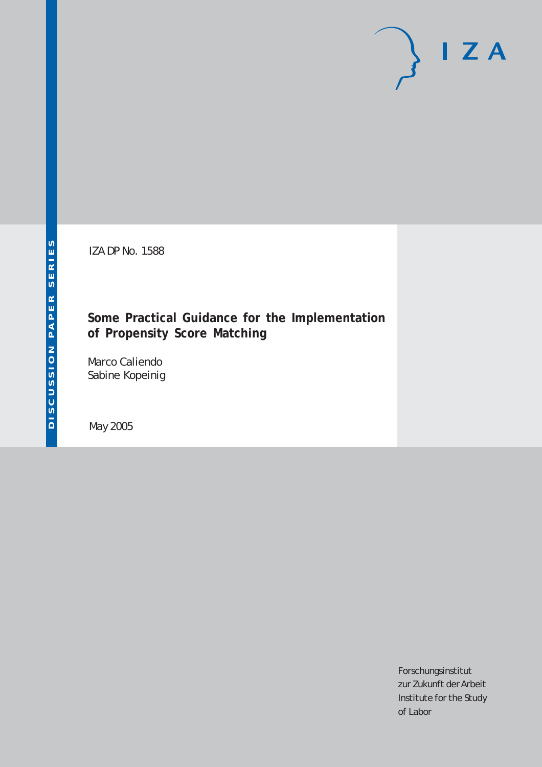IZA DP No. 1588

# **Some Practical Guidance for the Implementation of Propensity Score Matching**

Marco Caliendo Sabine Kopeinig

May 2005

Forschungsinstitut zur Zukunft der Arbeit Institute for the Study of Labor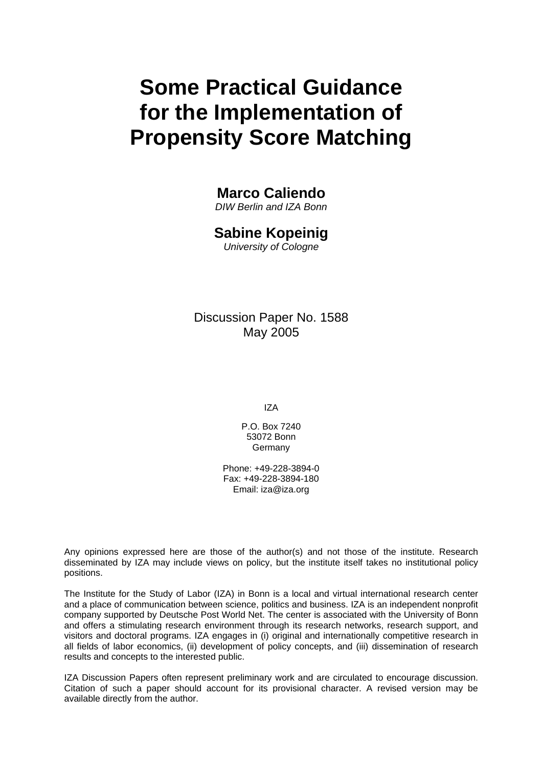# **Some Practical Guidance for the Implementation of Propensity Score Matching**

### **Marco Caliendo**

*DIW Berlin and IZA Bonn* 

### **Sabine Kopeinig**

*University of Cologne* 

Discussion Paper No. 1588 May 2005

IZA

P.O. Box 7240 53072 Bonn **Germany** 

Phone: +49-228-3894-0 Fax: +49-228-3894-180 Email: [iza@iza.org](mailto:iza@iza.org)

Any opinions expressed here are those of the author(s) and not those of the institute. Research disseminated by IZA may include views on policy, but the institute itself takes no institutional policy positions.

The Institute for the Study of Labor (IZA) in Bonn is a local and virtual international research center and a place of communication between science, politics and business. IZA is an independent nonprofit company supported by Deutsche Post World Net. The center is associated with the University of Bonn and offers a stimulating research environment through its research networks, research support, and visitors and doctoral programs. IZA engages in (i) original and internationally competitive research in all fields of labor economics, (ii) development of policy concepts, and (iii) dissemination of research results and concepts to the interested public.

IZA Discussion Papers often represent preliminary work and are circulated to encourage discussion. Citation of such a paper should account for its provisional character. A revised version may be available directly from the author.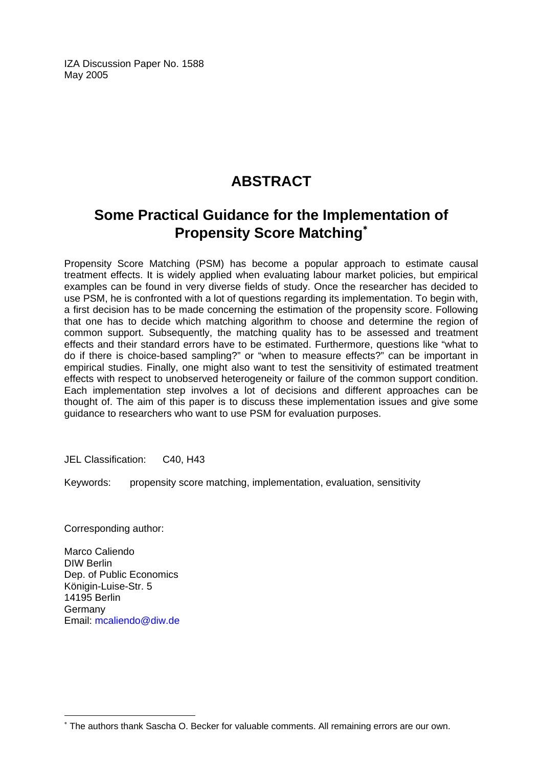IZA Discussion Paper No. 1588 May 2005

# **ABSTRACT**

# **Some Practical Guidance for the Implementation of Propensity Score Matching**[∗](#page-2-0)

Propensity Score Matching (PSM) has become a popular approach to estimate causal treatment effects. It is widely applied when evaluating labour market policies, but empirical examples can be found in very diverse fields of study. Once the researcher has decided to use PSM, he is confronted with a lot of questions regarding its implementation. To begin with, a first decision has to be made concerning the estimation of the propensity score. Following that one has to decide which matching algorithm to choose and determine the region of common support. Subsequently, the matching quality has to be assessed and treatment effects and their standard errors have to be estimated. Furthermore, questions like "what to do if there is choice-based sampling?" or "when to measure effects?" can be important in empirical studies. Finally, one might also want to test the sensitivity of estimated treatment effects with respect to unobserved heterogeneity or failure of the common support condition. Each implementation step involves a lot of decisions and different approaches can be thought of. The aim of this paper is to discuss these implementation issues and give some guidance to researchers who want to use PSM for evaluation purposes.

JEL Classification: C40, H43

Keywords: propensity score matching, implementation, evaluation, sensitivity

Corresponding author:

Marco Caliendo DIW Berlin Dep. of Public Economics Königin-Luise-Str. 5 14195 Berlin Germany Email: [mcaliendo@diw.de](mailto:mcaliendo@diw.de)

 $\overline{a}$ 

<span id="page-2-0"></span><sup>∗</sup> The authors thank Sascha O. Becker for valuable comments. All remaining errors are our own.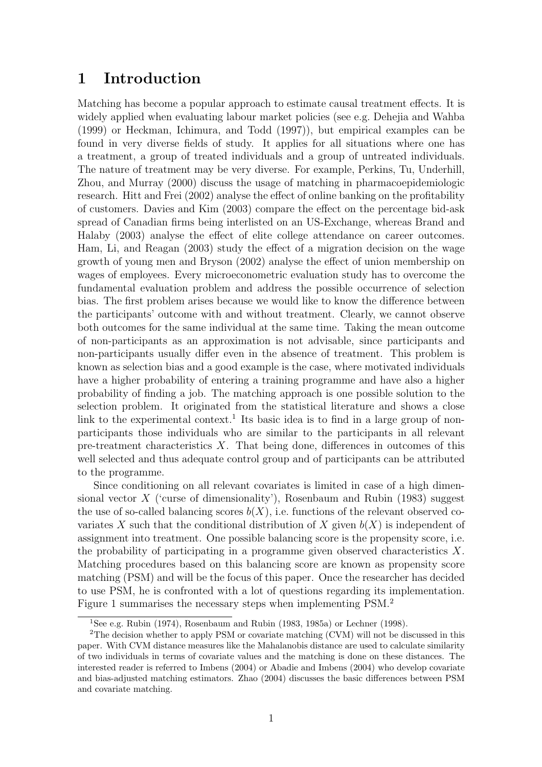# 1 Introduction

Matching has become a popular approach to estimate causal treatment effects. It is widely applied when evaluating labour market policies (see e.g. Dehejia and Wahba (1999) or Heckman, Ichimura, and Todd (1997)), but empirical examples can be found in very diverse fields of study. It applies for all situations where one has a treatment, a group of treated individuals and a group of untreated individuals. The nature of treatment may be very diverse. For example, Perkins, Tu, Underhill, Zhou, and Murray (2000) discuss the usage of matching in pharmacoepidemiologic research. Hitt and Frei (2002) analyse the effect of online banking on the profitability of customers. Davies and Kim (2003) compare the effect on the percentage bid-ask spread of Canadian firms being interlisted on an US-Exchange, whereas Brand and Halaby (2003) analyse the effect of elite college attendance on career outcomes. Ham, Li, and Reagan (2003) study the effect of a migration decision on the wage growth of young men and Bryson (2002) analyse the effect of union membership on wages of employees. Every microeconometric evaluation study has to overcome the fundamental evaluation problem and address the possible occurrence of selection bias. The first problem arises because we would like to know the difference between the participants' outcome with and without treatment. Clearly, we cannot observe both outcomes for the same individual at the same time. Taking the mean outcome of non-participants as an approximation is not advisable, since participants and non-participants usually differ even in the absence of treatment. This problem is known as selection bias and a good example is the case, where motivated individuals have a higher probability of entering a training programme and have also a higher probability of finding a job. The matching approach is one possible solution to the selection problem. It originated from the statistical literature and shows a close link to the experimental context.<sup>1</sup> Its basic idea is to find in a large group of nonparticipants those individuals who are similar to the participants in all relevant pre-treatment characteristics  $X$ . That being done, differences in outcomes of this well selected and thus adequate control group and of participants can be attributed to the programme.

Since conditioning on all relevant covariates is limited in case of a high dimensional vector  $X$  ('curse of dimensionality'), Rosenbaum and Rubin (1983) suggest the use of so-called balancing scores  $b(X)$ , i.e. functions of the relevant observed covariates X such that the conditional distribution of X given  $b(X)$  is independent of assignment into treatment. One possible balancing score is the propensity score, i.e. the probability of participating in a programme given observed characteristics X. Matching procedures based on this balancing score are known as propensity score matching (PSM) and will be the focus of this paper. Once the researcher has decided to use PSM, he is confronted with a lot of questions regarding its implementation. Figure 1 summarises the necessary steps when implementing PSM.<sup>2</sup>

<sup>&</sup>lt;sup>1</sup>See e.g. Rubin (1974), Rosenbaum and Rubin (1983, 1985a) or Lechner (1998).

<sup>2</sup>The decision whether to apply PSM or covariate matching (CVM) will not be discussed in this paper. With CVM distance measures like the Mahalanobis distance are used to calculate similarity of two individuals in terms of covariate values and the matching is done on these distances. The interested reader is referred to Imbens (2004) or Abadie and Imbens (2004) who develop covariate and bias-adjusted matching estimators. Zhao (2004) discusses the basic differences between PSM and covariate matching.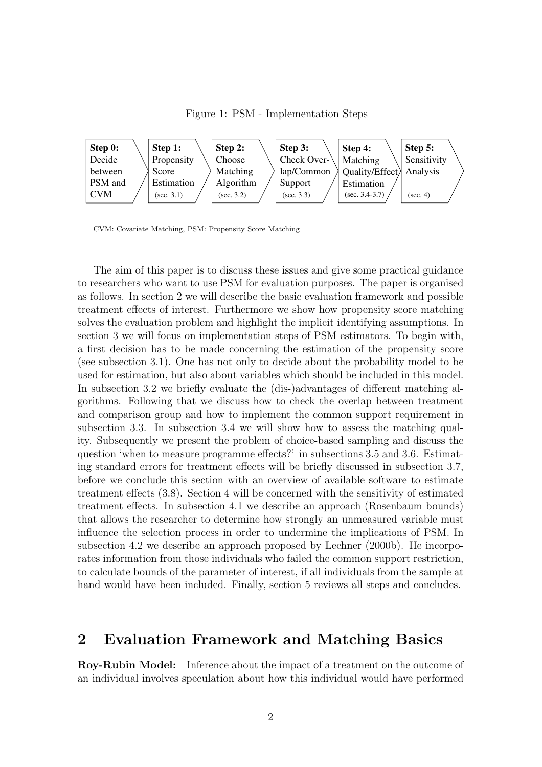Figure 1: PSM - Implementation Steps



CVM: Covariate Matching, PSM: Propensity Score Matching

The aim of this paper is to discuss these issues and give some practical guidance to researchers who want to use PSM for evaluation purposes. The paper is organised as follows. In section 2 we will describe the basic evaluation framework and possible treatment effects of interest. Furthermore we show how propensity score matching solves the evaluation problem and highlight the implicit identifying assumptions. In section 3 we will focus on implementation steps of PSM estimators. To begin with, a first decision has to be made concerning the estimation of the propensity score (see subsection 3.1). One has not only to decide about the probability model to be used for estimation, but also about variables which should be included in this model. In subsection 3.2 we briefly evaluate the (dis-)advantages of different matching algorithms. Following that we discuss how to check the overlap between treatment and comparison group and how to implement the common support requirement in subsection 3.3. In subsection 3.4 we will show how to assess the matching quality. Subsequently we present the problem of choice-based sampling and discuss the question 'when to measure programme effects?' in subsections 3.5 and 3.6. Estimating standard errors for treatment effects will be briefly discussed in subsection 3.7, before we conclude this section with an overview of available software to estimate treatment effects (3.8). Section 4 will be concerned with the sensitivity of estimated treatment effects. In subsection 4.1 we describe an approach (Rosenbaum bounds) that allows the researcher to determine how strongly an unmeasured variable must influence the selection process in order to undermine the implications of PSM. In subsection 4.2 we describe an approach proposed by Lechner (2000b). He incorporates information from those individuals who failed the common support restriction, to calculate bounds of the parameter of interest, if all individuals from the sample at hand would have been included. Finally, section 5 reviews all steps and concludes.

# 2 Evaluation Framework and Matching Basics

Roy-Rubin Model: Inference about the impact of a treatment on the outcome of an individual involves speculation about how this individual would have performed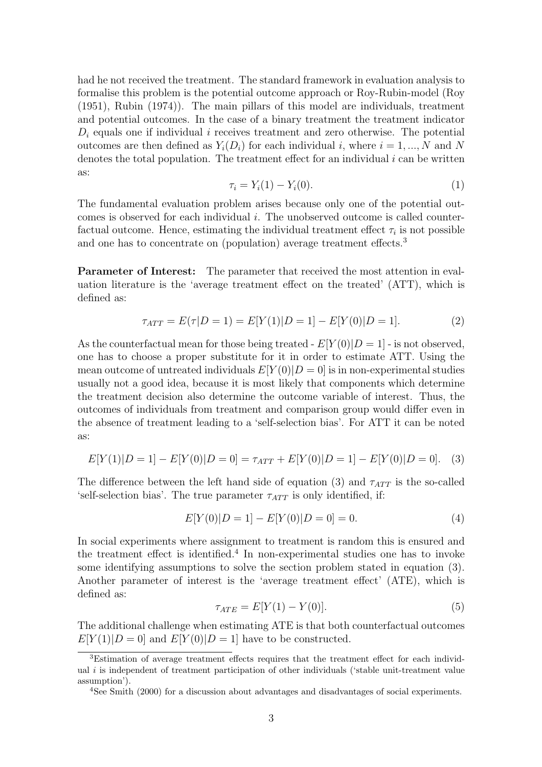had he not received the treatment. The standard framework in evaluation analysis to formalise this problem is the potential outcome approach or Roy-Rubin-model (Roy (1951), Rubin (1974)). The main pillars of this model are individuals, treatment and potential outcomes. In the case of a binary treatment the treatment indicator  $D_i$  equals one if individual i receives treatment and zero otherwise. The potential outcomes are then defined as  $Y_i(D_i)$  for each individual i, where  $i = 1, ..., N$  and N denotes the total population. The treatment effect for an individual  $i$  can be written as:

$$
\tau_i = Y_i(1) - Y_i(0). \tag{1}
$$

The fundamental evaluation problem arises because only one of the potential outcomes is observed for each individual i. The unobserved outcome is called counterfactual outcome. Hence, estimating the individual treatment effect  $\tau_i$  is not possible and one has to concentrate on (population) average treatment effects.<sup>3</sup>

Parameter of Interest: The parameter that received the most attention in evaluation literature is the 'average treatment effect on the treated' (ATT), which is defined as:

$$
\tau_{ATT} = E(\tau|D=1) = E[Y(1)|D=1] - E[Y(0)|D=1]. \tag{2}
$$

As the counterfactual mean for those being treated  $-E[Y(0)|D=1]$  - is not observed, one has to choose a proper substitute for it in order to estimate ATT. Using the mean outcome of untreated individuals  $E[Y(0)|D=0]$  is in non-experimental studies usually not a good idea, because it is most likely that components which determine the treatment decision also determine the outcome variable of interest. Thus, the outcomes of individuals from treatment and comparison group would differ even in the absence of treatment leading to a 'self-selection bias'. For ATT it can be noted as:

$$
E[Y(1)|D=1] - E[Y(0)|D=0] = \tau_{ATT} + E[Y(0)|D=1] - E[Y(0)|D=0]. \tag{3}
$$

The difference between the left hand side of equation (3) and  $\tau_{ATT}$  is the so-called 'self-selection bias'. The true parameter  $\tau_{ATT}$  is only identified, if:

$$
E[Y(0)|D = 1] - E[Y(0)|D = 0] = 0.
$$
\n(4)

In social experiments where assignment to treatment is random this is ensured and the treatment effect is identified.<sup>4</sup> In non-experimental studies one has to invoke some identifying assumptions to solve the section problem stated in equation (3). Another parameter of interest is the 'average treatment effect' (ATE), which is defined as:

$$
\tau_{ATE} = E[Y(1) - Y(0)].
$$
\n(5)

The additional challenge when estimating ATE is that both counterfactual outcomes  $E[Y(1)|D=0]$  and  $E[Y(0)|D=1]$  have to be constructed.

<sup>3</sup>Estimation of average treatment effects requires that the treatment effect for each individual  $i$  is independent of treatment participation of other individuals ('stable unit-treatment value assumption').

<sup>4</sup>See Smith (2000) for a discussion about advantages and disadvantages of social experiments.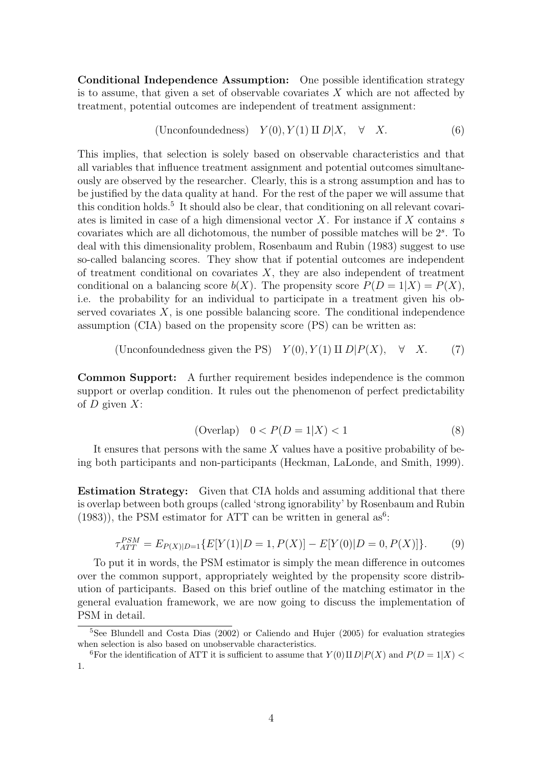Conditional Independence Assumption: One possible identification strategy is to assume, that given a set of observable covariates  $X$  which are not affected by treatment, potential outcomes are independent of treatment assignment:

$$
(Unconfoundedness) \quad Y(0), Y(1) \amalg D|X, \quad \forall \quad X. \tag{6}
$$

This implies, that selection is solely based on observable characteristics and that all variables that influence treatment assignment and potential outcomes simultaneously are observed by the researcher. Clearly, this is a strong assumption and has to be justified by the data quality at hand. For the rest of the paper we will assume that this condition holds.<sup>5</sup> It should also be clear, that conditioning on all relevant covariates is limited in case of a high dimensional vector  $X$ . For instance if  $X$  contains  $s$ covariates which are all dichotomous, the number of possible matches will be  $2<sup>s</sup>$ . To deal with this dimensionality problem, Rosenbaum and Rubin (1983) suggest to use so-called balancing scores. They show that if potential outcomes are independent of treatment conditional on covariates  $X$ , they are also independent of treatment conditional on a balancing score  $b(X)$ . The propensity score  $P(D = 1|X) = P(X)$ , i.e. the probability for an individual to participate in a treatment given his observed covariates  $X$ , is one possible balancing score. The conditional independence assumption (CIA) based on the propensity score (PS) can be written as:

(Unconfoundedness given the PS) 
$$
Y(0), Y(1) \amalg D | P(X), \forall X.
$$
 (7)

Common Support: A further requirement besides independence is the common support or overlap condition. It rules out the phenomenon of perfect predictability of  $D$  given  $X$ :

$$
(\text{Overlap}) \quad 0 < P(D=1|X) < 1\tag{8}
$$

It ensures that persons with the same X values have a positive probability of being both participants and non-participants (Heckman, LaLonde, and Smith, 1999).

Estimation Strategy: Given that CIA holds and assuming additional that there is overlap between both groups (called 'strong ignorability' by Rosenbaum and Rubin  $(1983)$ , the PSM estimator for ATT can be written in general as<sup>6</sup>:

$$
\tau_{ATT}^{PSM} = E_{P(X)|D=1} \{ E[Y(1)|D=1, P(X)] - E[Y(0)|D=0, P(X)] \}.
$$
 (9)

To put it in words, the PSM estimator is simply the mean difference in outcomes over the common support, appropriately weighted by the propensity score distribution of participants. Based on this brief outline of the matching estimator in the general evaluation framework, we are now going to discuss the implementation of PSM in detail.

<sup>5</sup>See Blundell and Costa Dias (2002) or Caliendo and Hujer (2005) for evaluation strategies when selection is also based on unobservable characteristics.

<sup>&</sup>lt;sup>6</sup>For the identification of ATT it is sufficient to assume that  $Y(0)\text{II}D|P(X)$  and  $P(D = 1|X)$  < 1.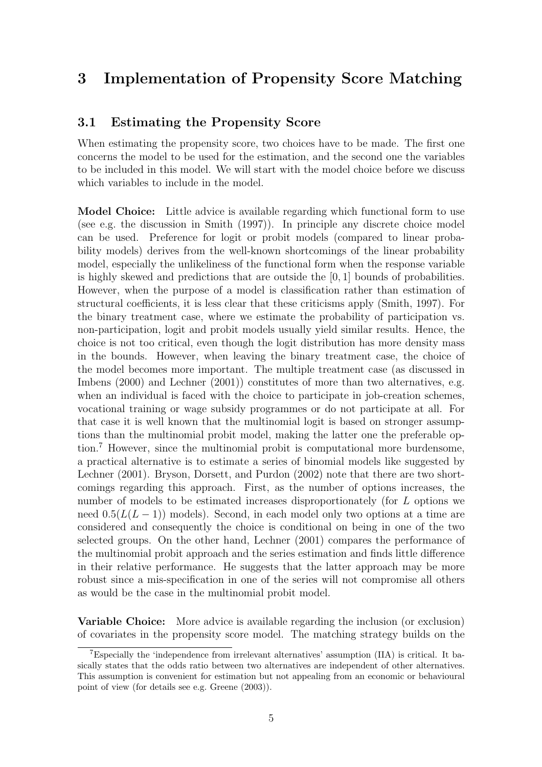# 3 Implementation of Propensity Score Matching

#### 3.1 Estimating the Propensity Score

When estimating the propensity score, two choices have to be made. The first one concerns the model to be used for the estimation, and the second one the variables to be included in this model. We will start with the model choice before we discuss which variables to include in the model.

Model Choice: Little advice is available regarding which functional form to use (see e.g. the discussion in Smith (1997)). In principle any discrete choice model can be used. Preference for logit or probit models (compared to linear probability models) derives from the well-known shortcomings of the linear probability model, especially the unlikeliness of the functional form when the response variable is highly skewed and predictions that are outside the [0, 1] bounds of probabilities. However, when the purpose of a model is classification rather than estimation of structural coefficients, it is less clear that these criticisms apply (Smith, 1997). For the binary treatment case, where we estimate the probability of participation vs. non-participation, logit and probit models usually yield similar results. Hence, the choice is not too critical, even though the logit distribution has more density mass in the bounds. However, when leaving the binary treatment case, the choice of the model becomes more important. The multiple treatment case (as discussed in Imbens (2000) and Lechner (2001)) constitutes of more than two alternatives, e.g. when an individual is faced with the choice to participate in job-creation schemes, vocational training or wage subsidy programmes or do not participate at all. For that case it is well known that the multinomial logit is based on stronger assumptions than the multinomial probit model, making the latter one the preferable option.<sup>7</sup> However, since the multinomial probit is computational more burdensome, a practical alternative is to estimate a series of binomial models like suggested by Lechner (2001). Bryson, Dorsett, and Purdon (2002) note that there are two shortcomings regarding this approach. First, as the number of options increases, the number of models to be estimated increases disproportionately (for L options we need  $0.5(L(L-1))$  models). Second, in each model only two options at a time are considered and consequently the choice is conditional on being in one of the two selected groups. On the other hand, Lechner (2001) compares the performance of the multinomial probit approach and the series estimation and finds little difference in their relative performance. He suggests that the latter approach may be more robust since a mis-specification in one of the series will not compromise all others as would be the case in the multinomial probit model.

Variable Choice: More advice is available regarding the inclusion (or exclusion) of covariates in the propensity score model. The matching strategy builds on the

<sup>7</sup>Especially the 'independence from irrelevant alternatives' assumption (IIA) is critical. It basically states that the odds ratio between two alternatives are independent of other alternatives. This assumption is convenient for estimation but not appealing from an economic or behavioural point of view (for details see e.g. Greene (2003)).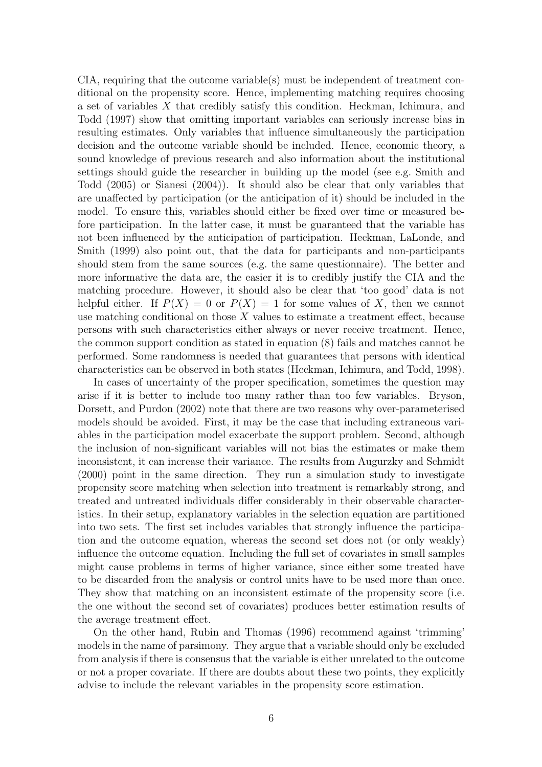$CIA$ , requiring that the outcome variable(s) must be independent of treatment conditional on the propensity score. Hence, implementing matching requires choosing a set of variables X that credibly satisfy this condition. Heckman, Ichimura, and Todd (1997) show that omitting important variables can seriously increase bias in resulting estimates. Only variables that influence simultaneously the participation decision and the outcome variable should be included. Hence, economic theory, a sound knowledge of previous research and also information about the institutional settings should guide the researcher in building up the model (see e.g. Smith and Todd (2005) or Sianesi (2004)). It should also be clear that only variables that are unaffected by participation (or the anticipation of it) should be included in the model. To ensure this, variables should either be fixed over time or measured before participation. In the latter case, it must be guaranteed that the variable has not been influenced by the anticipation of participation. Heckman, LaLonde, and Smith (1999) also point out, that the data for participants and non-participants should stem from the same sources (e.g. the same questionnaire). The better and more informative the data are, the easier it is to credibly justify the CIA and the matching procedure. However, it should also be clear that 'too good' data is not helpful either. If  $P(X) = 0$  or  $P(X) = 1$  for some values of X, then we cannot use matching conditional on those  $X$  values to estimate a treatment effect, because persons with such characteristics either always or never receive treatment. Hence, the common support condition as stated in equation (8) fails and matches cannot be performed. Some randomness is needed that guarantees that persons with identical characteristics can be observed in both states (Heckman, Ichimura, and Todd, 1998).

In cases of uncertainty of the proper specification, sometimes the question may arise if it is better to include too many rather than too few variables. Bryson, Dorsett, and Purdon (2002) note that there are two reasons why over-parameterised models should be avoided. First, it may be the case that including extraneous variables in the participation model exacerbate the support problem. Second, although the inclusion of non-significant variables will not bias the estimates or make them inconsistent, it can increase their variance. The results from Augurzky and Schmidt (2000) point in the same direction. They run a simulation study to investigate propensity score matching when selection into treatment is remarkably strong, and treated and untreated individuals differ considerably in their observable characteristics. In their setup, explanatory variables in the selection equation are partitioned into two sets. The first set includes variables that strongly influence the participation and the outcome equation, whereas the second set does not (or only weakly) influence the outcome equation. Including the full set of covariates in small samples might cause problems in terms of higher variance, since either some treated have to be discarded from the analysis or control units have to be used more than once. They show that matching on an inconsistent estimate of the propensity score (i.e. the one without the second set of covariates) produces better estimation results of the average treatment effect.

On the other hand, Rubin and Thomas (1996) recommend against 'trimming' models in the name of parsimony. They argue that a variable should only be excluded from analysis if there is consensus that the variable is either unrelated to the outcome or not a proper covariate. If there are doubts about these two points, they explicitly advise to include the relevant variables in the propensity score estimation.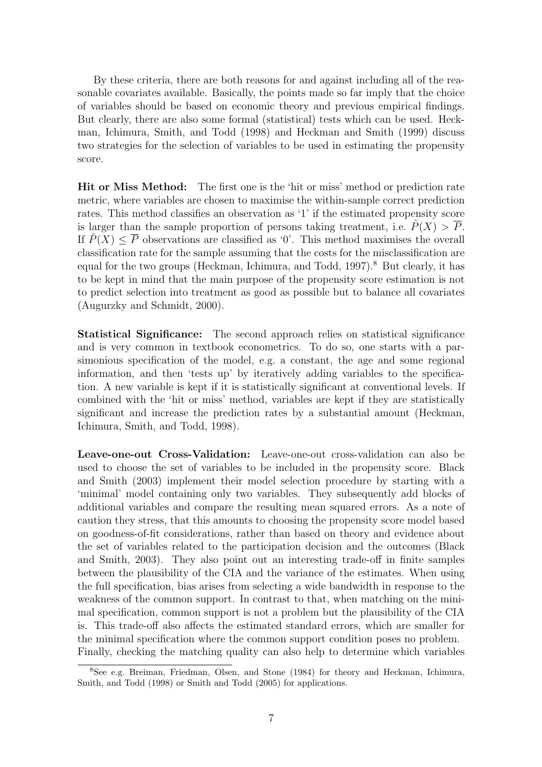By these criteria, there are both reasons for and against including all of the reasonable covariates available. Basically, the points made so far imply that the choice of variables should be based on economic theory and previous empirical findings. But clearly, there are also some formal (statistical) tests which can be used. Heckman, Ichimura, Smith, and Todd (1998) and Heckman and Smith (1999) discuss two strategies for the selection of variables to be used in estimating the propensity score.

Hit or Miss Method: The first one is the 'hit or miss' method or prediction rate metric, where variables are chosen to maximise the within-sample correct prediction rates. This method classifies an observation as '1' if the estimated propensity score is larger than the sample proportion of persons taking treatment, i.e.  $\hat{P}(X) > \overline{P}$ . If  $\hat{P}(X) \leq \overline{P}$  observations are classified as '0'. This method maximises the overall classification rate for the sample assuming that the costs for the misclassification are equal for the two groups (Heckman, Ichimura, and Todd, 1997).<sup>8</sup> But clearly, it has to be kept in mind that the main purpose of the propensity score estimation is not to predict selection into treatment as good as possible but to balance all covariates (Augurzky and Schmidt, 2000).

Statistical Significance: The second approach relies on statistical significance and is very common in textbook econometrics. To do so, one starts with a parsimonious specification of the model, e.g. a constant, the age and some regional information, and then 'tests up' by iteratively adding variables to the specification. A new variable is kept if it is statistically significant at conventional levels. If combined with the 'hit or miss' method, variables are kept if they are statistically significant and increase the prediction rates by a substantial amount (Heckman, Ichimura, Smith, and Todd, 1998).

Leave-one-out Cross-Validation: Leave-one-out cross-validation can also be used to choose the set of variables to be included in the propensity score. Black and Smith (2003) implement their model selection procedure by starting with a 'minimal' model containing only two variables. They subsequently add blocks of additional variables and compare the resulting mean squared errors. As a note of caution they stress, that this amounts to choosing the propensity score model based on goodness-of-fit considerations, rather than based on theory and evidence about the set of variables related to the participation decision and the outcomes (Black and Smith, 2003). They also point out an interesting trade-off in finite samples between the plausibility of the CIA and the variance of the estimates. When using the full specification, bias arises from selecting a wide bandwidth in response to the weakness of the common support. In contrast to that, when matching on the minimal specification, common support is not a problem but the plausibility of the CIA is. This trade-off also affects the estimated standard errors, which are smaller for the minimal specification where the common support condition poses no problem. Finally, checking the matching quality can also help to determine which variables

<sup>8</sup>See e.g. Breiman, Friedman, Olsen, and Stone (1984) for theory and Heckman, Ichimura, Smith, and Todd (1998) or Smith and Todd (2005) for applications.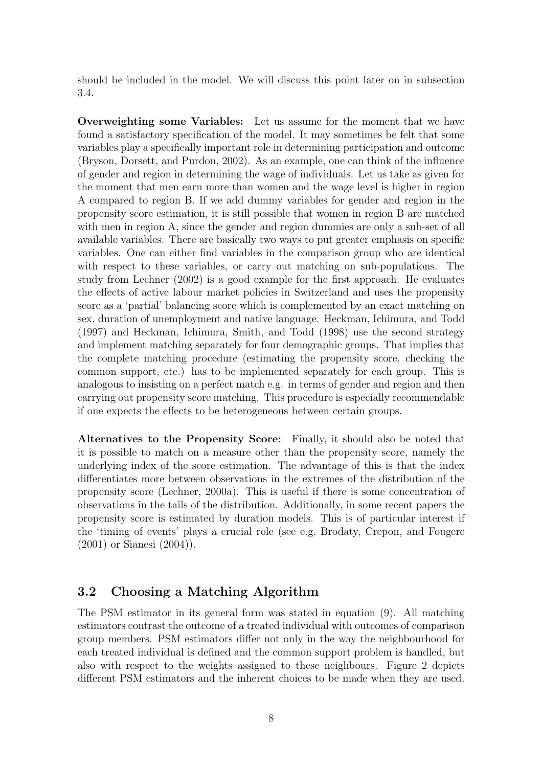should be included in the model. We will discuss this point later on in subsection 3.4.

Overweighting some Variables: Let us assume for the moment that we have found a satisfactory specification of the model. It may sometimes be felt that some variables play a specifically important role in determining participation and outcome (Bryson, Dorsett, and Purdon, 2002). As an example, one can think of the influence of gender and region in determining the wage of individuals. Let us take as given for the moment that men earn more than women and the wage level is higher in region A compared to region B. If we add dummy variables for gender and region in the propensity score estimation, it is still possible that women in region B are matched with men in region A, since the gender and region dummies are only a sub-set of all available variables. There are basically two ways to put greater emphasis on specific variables. One can either find variables in the comparison group who are identical with respect to these variables, or carry out matching on sub-populations. The study from Lechner (2002) is a good example for the first approach. He evaluates the effects of active labour market policies in Switzerland and uses the propensity score as a 'partial' balancing score which is complemented by an exact matching on sex, duration of unemployment and native language. Heckman, Ichimura, and Todd (1997) and Heckman, Ichimura, Smith, and Todd (1998) use the second strategy and implement matching separately for four demographic groups. That implies that the complete matching procedure (estimating the propensity score, checking the common support, etc.) has to be implemented separately for each group. This is analogous to insisting on a perfect match e.g. in terms of gender and region and then carrying out propensity score matching. This procedure is especially recommendable if one expects the effects to be heterogeneous between certain groups.

Alternatives to the Propensity Score: Finally, it should also be noted that it is possible to match on a measure other than the propensity score, namely the underlying index of the score estimation. The advantage of this is that the index differentiates more between observations in the extremes of the distribution of the propensity score (Lechner, 2000a). This is useful if there is some concentration of observations in the tails of the distribution. Additionally, in some recent papers the propensity score is estimated by duration models. This is of particular interest if the 'timing of events' plays a crucial role (see e.g. Brodaty, Crepon, and Fougere (2001) or Sianesi (2004)).

#### 3.2 Choosing a Matching Algorithm

The PSM estimator in its general form was stated in equation (9). All matching estimators contrast the outcome of a treated individual with outcomes of comparison group members. PSM estimators differ not only in the way the neighbourhood for each treated individual is defined and the common support problem is handled, but also with respect to the weights assigned to these neighbours. Figure 2 depicts different PSM estimators and the inherent choices to be made when they are used.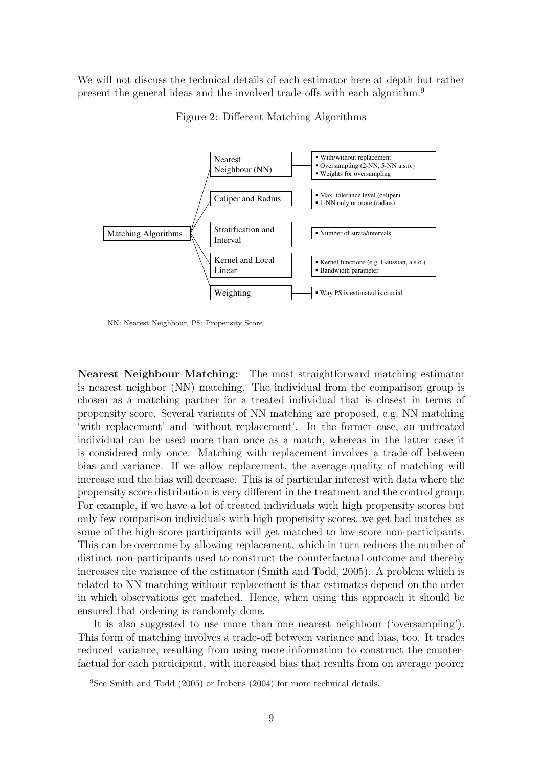We will not discuss the technical details of each estimator here at depth but rather present the general ideas and the involved trade-offs with each algorithm.<sup>9</sup>



Figure 2: Different Matching Algorithms

NN: Nearest Neighbour, PS: Propensity Score

Nearest Neighbour Matching: The most straightforward matching estimator is nearest neighbor (NN) matching. The individual from the comparison group is chosen as a matching partner for a treated individual that is closest in terms of propensity score. Several variants of NN matching are proposed, e.g. NN matching 'with replacement' and 'without replacement'. In the former case, an untreated individual can be used more than once as a match, whereas in the latter case it is considered only once. Matching with replacement involves a trade-off between bias and variance. If we allow replacement, the average quality of matching will increase and the bias will decrease. This is of particular interest with data where the propensity score distribution is very different in the treatment and the control group. For example, if we have a lot of treated individuals with high propensity scores but only few comparison individuals with high propensity scores, we get bad matches as some of the high-score participants will get matched to low-score non-participants. This can be overcome by allowing replacement, which in turn reduces the number of distinct non-participants used to construct the counterfactual outcome and thereby increases the variance of the estimator (Smith and Todd, 2005). A problem which is related to NN matching without replacement is that estimates depend on the order in which observations get matched. Hence, when using this approach it should be ensured that ordering is randomly done.

It is also suggested to use more than one nearest neighbour ('oversampling'). This form of matching involves a trade-off between variance and bias, too. It trades reduced variance, resulting from using more information to construct the counterfactual for each participant, with increased bias that results from on average poorer

<sup>&</sup>lt;sup>9</sup>See Smith and Todd (2005) or Imbens (2004) for more technical details.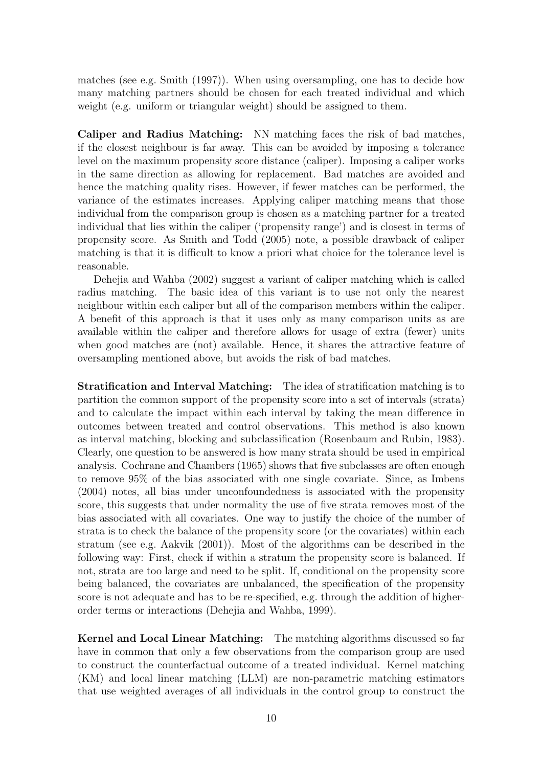matches (see e.g. Smith (1997)). When using oversampling, one has to decide how many matching partners should be chosen for each treated individual and which weight (e.g. uniform or triangular weight) should be assigned to them.

Caliper and Radius Matching: NN matching faces the risk of bad matches, if the closest neighbour is far away. This can be avoided by imposing a tolerance level on the maximum propensity score distance (caliper). Imposing a caliper works in the same direction as allowing for replacement. Bad matches are avoided and hence the matching quality rises. However, if fewer matches can be performed, the variance of the estimates increases. Applying caliper matching means that those individual from the comparison group is chosen as a matching partner for a treated individual that lies within the caliper ('propensity range') and is closest in terms of propensity score. As Smith and Todd (2005) note, a possible drawback of caliper matching is that it is difficult to know a priori what choice for the tolerance level is reasonable.

Dehejia and Wahba (2002) suggest a variant of caliper matching which is called radius matching. The basic idea of this variant is to use not only the nearest neighbour within each caliper but all of the comparison members within the caliper. A benefit of this approach is that it uses only as many comparison units as are available within the caliper and therefore allows for usage of extra (fewer) units when good matches are (not) available. Hence, it shares the attractive feature of oversampling mentioned above, but avoids the risk of bad matches.

Stratification and Interval Matching: The idea of stratification matching is to partition the common support of the propensity score into a set of intervals (strata) and to calculate the impact within each interval by taking the mean difference in outcomes between treated and control observations. This method is also known as interval matching, blocking and subclassification (Rosenbaum and Rubin, 1983). Clearly, one question to be answered is how many strata should be used in empirical analysis. Cochrane and Chambers (1965) shows that five subclasses are often enough to remove 95% of the bias associated with one single covariate. Since, as Imbens (2004) notes, all bias under unconfoundedness is associated with the propensity score, this suggests that under normality the use of five strata removes most of the bias associated with all covariates. One way to justify the choice of the number of strata is to check the balance of the propensity score (or the covariates) within each stratum (see e.g. Aakvik (2001)). Most of the algorithms can be described in the following way: First, check if within a stratum the propensity score is balanced. If not, strata are too large and need to be split. If, conditional on the propensity score being balanced, the covariates are unbalanced, the specification of the propensity score is not adequate and has to be re-specified, e.g. through the addition of higherorder terms or interactions (Dehejia and Wahba, 1999).

Kernel and Local Linear Matching: The matching algorithms discussed so far have in common that only a few observations from the comparison group are used to construct the counterfactual outcome of a treated individual. Kernel matching (KM) and local linear matching (LLM) are non-parametric matching estimators that use weighted averages of all individuals in the control group to construct the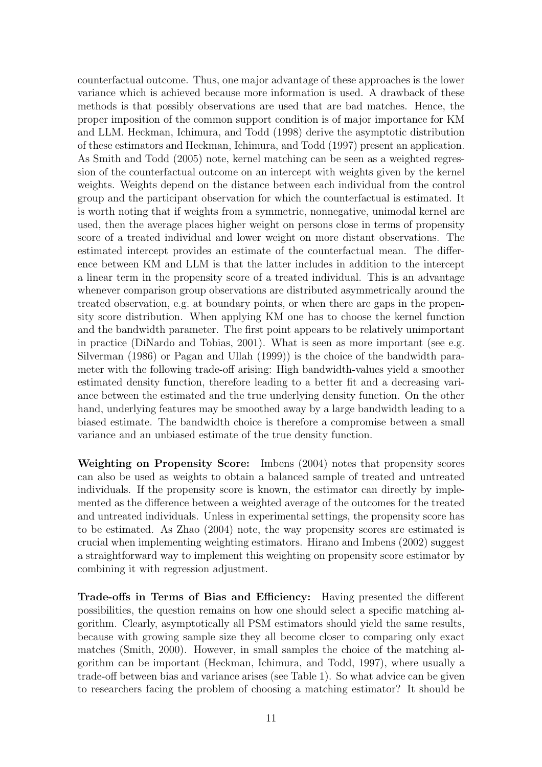counterfactual outcome. Thus, one major advantage of these approaches is the lower variance which is achieved because more information is used. A drawback of these methods is that possibly observations are used that are bad matches. Hence, the proper imposition of the common support condition is of major importance for KM and LLM. Heckman, Ichimura, and Todd (1998) derive the asymptotic distribution of these estimators and Heckman, Ichimura, and Todd (1997) present an application. As Smith and Todd (2005) note, kernel matching can be seen as a weighted regression of the counterfactual outcome on an intercept with weights given by the kernel weights. Weights depend on the distance between each individual from the control group and the participant observation for which the counterfactual is estimated. It is worth noting that if weights from a symmetric, nonnegative, unimodal kernel are used, then the average places higher weight on persons close in terms of propensity score of a treated individual and lower weight on more distant observations. The estimated intercept provides an estimate of the counterfactual mean. The difference between KM and LLM is that the latter includes in addition to the intercept a linear term in the propensity score of a treated individual. This is an advantage whenever comparison group observations are distributed asymmetrically around the treated observation, e.g. at boundary points, or when there are gaps in the propensity score distribution. When applying KM one has to choose the kernel function and the bandwidth parameter. The first point appears to be relatively unimportant in practice (DiNardo and Tobias, 2001). What is seen as more important (see e.g. Silverman (1986) or Pagan and Ullah (1999)) is the choice of the bandwidth parameter with the following trade-off arising: High bandwidth-values yield a smoother estimated density function, therefore leading to a better fit and a decreasing variance between the estimated and the true underlying density function. On the other hand, underlying features may be smoothed away by a large bandwidth leading to a biased estimate. The bandwidth choice is therefore a compromise between a small variance and an unbiased estimate of the true density function.

Weighting on Propensity Score: Imbens (2004) notes that propensity scores can also be used as weights to obtain a balanced sample of treated and untreated individuals. If the propensity score is known, the estimator can directly by implemented as the difference between a weighted average of the outcomes for the treated and untreated individuals. Unless in experimental settings, the propensity score has to be estimated. As Zhao (2004) note, the way propensity scores are estimated is crucial when implementing weighting estimators. Hirano and Imbens (2002) suggest a straightforward way to implement this weighting on propensity score estimator by combining it with regression adjustment.

Trade-offs in Terms of Bias and Efficiency: Having presented the different possibilities, the question remains on how one should select a specific matching algorithm. Clearly, asymptotically all PSM estimators should yield the same results, because with growing sample size they all become closer to comparing only exact matches (Smith, 2000). However, in small samples the choice of the matching algorithm can be important (Heckman, Ichimura, and Todd, 1997), where usually a trade-off between bias and variance arises (see Table 1). So what advice can be given to researchers facing the problem of choosing a matching estimator? It should be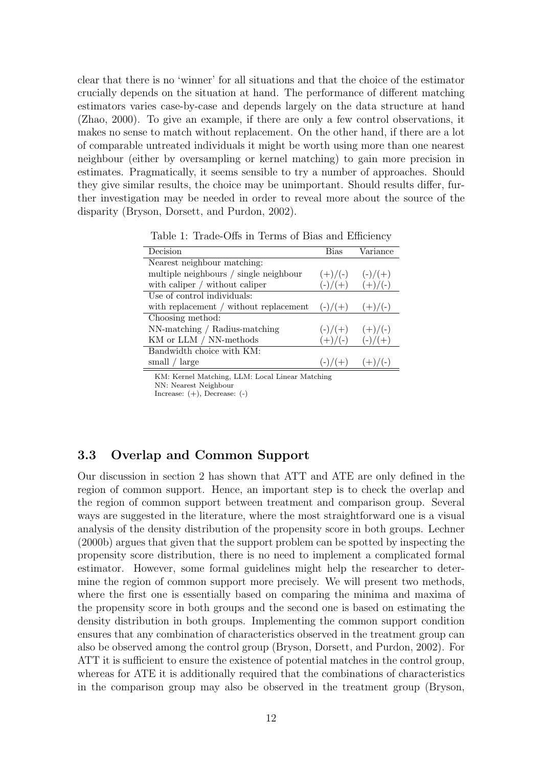clear that there is no 'winner' for all situations and that the choice of the estimator crucially depends on the situation at hand. The performance of different matching estimators varies case-by-case and depends largely on the data structure at hand (Zhao, 2000). To give an example, if there are only a few control observations, it makes no sense to match without replacement. On the other hand, if there are a lot of comparable untreated individuals it might be worth using more than one nearest neighbour (either by oversampling or kernel matching) to gain more precision in estimates. Pragmatically, it seems sensible to try a number of approaches. Should they give similar results, the choice may be unimportant. Should results differ, further investigation may be needed in order to reveal more about the source of the disparity (Bryson, Dorsett, and Purdon, 2002).

Table 1: Trade-Offs in Terms of Bias and Efficiency

| Decision                               | <b>Bias</b> | Variance                |
|----------------------------------------|-------------|-------------------------|
| Nearest neighbour matching:            |             |                         |
| multiple neighbours / single neighbour | $(+)/(-)$   | $(-)/(+)$               |
| with caliper / without caliper         | $(-)/(+)$   | $(+)/(-)$               |
| Use of control individuals:            |             |                         |
| with replacement / without replacement | $(-)/(+)$   | $(+)/(-)$               |
| Choosing method:                       |             |                         |
| NN-matching / Radius-matching          | $(-)/(+)$   | $(+)/(-)$               |
| KM or LLM / NN-methods                 | $(+)/(-)$   | $(-)/(+)$               |
| Bandwidth choice with KM:              |             |                         |
| small / large                          |             | $(-) / (+)$ $(+) / (-)$ |

KM: Kernel Matching, LLM: Local Linear Matching NN: Nearest Neighbour Increase:  $(+)$ , Decrease:  $(-)$ 

3.3 Overlap and Common Support

Our discussion in section 2 has shown that ATT and ATE are only defined in the region of common support. Hence, an important step is to check the overlap and the region of common support between treatment and comparison group. Several ways are suggested in the literature, where the most straightforward one is a visual analysis of the density distribution of the propensity score in both groups. Lechner (2000b) argues that given that the support problem can be spotted by inspecting the propensity score distribution, there is no need to implement a complicated formal estimator. However, some formal guidelines might help the researcher to determine the region of common support more precisely. We will present two methods, where the first one is essentially based on comparing the minima and maxima of the propensity score in both groups and the second one is based on estimating the density distribution in both groups. Implementing the common support condition ensures that any combination of characteristics observed in the treatment group can also be observed among the control group (Bryson, Dorsett, and Purdon, 2002). For ATT it is sufficient to ensure the existence of potential matches in the control group, whereas for ATE it is additionally required that the combinations of characteristics in the comparison group may also be observed in the treatment group (Bryson,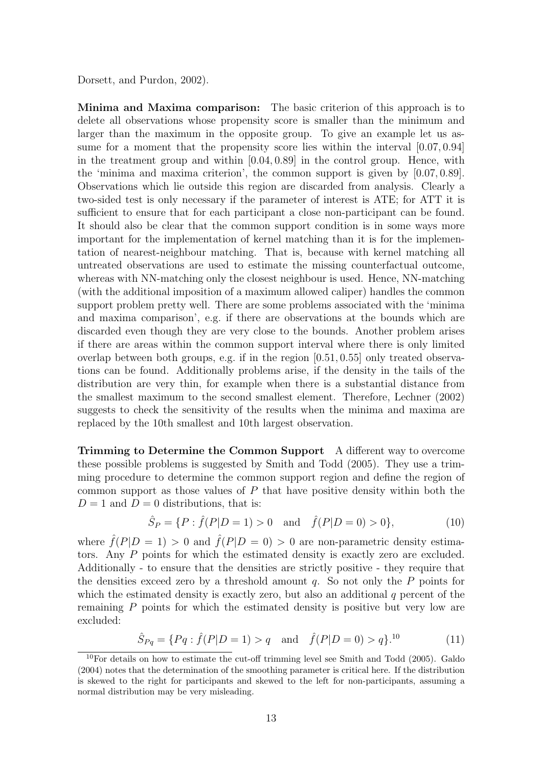Dorsett, and Purdon, 2002).

Minima and Maxima comparison: The basic criterion of this approach is to delete all observations whose propensity score is smaller than the minimum and larger than the maximum in the opposite group. To give an example let us assume for a moment that the propensity score lies within the interval  $[0.07, 0.94]$ in the treatment group and within [0.04, 0.89] in the control group. Hence, with the 'minima and maxima criterion', the common support is given by [0.07, 0.89]. Observations which lie outside this region are discarded from analysis. Clearly a two-sided test is only necessary if the parameter of interest is ATE; for ATT it is sufficient to ensure that for each participant a close non-participant can be found. It should also be clear that the common support condition is in some ways more important for the implementation of kernel matching than it is for the implementation of nearest-neighbour matching. That is, because with kernel matching all untreated observations are used to estimate the missing counterfactual outcome, whereas with NN-matching only the closest neighbour is used. Hence, NN-matching (with the additional imposition of a maximum allowed caliper) handles the common support problem pretty well. There are some problems associated with the 'minima and maxima comparison', e.g. if there are observations at the bounds which are discarded even though they are very close to the bounds. Another problem arises if there are areas within the common support interval where there is only limited overlap between both groups, e.g. if in the region [0.51, 0.55] only treated observations can be found. Additionally problems arise, if the density in the tails of the distribution are very thin, for example when there is a substantial distance from the smallest maximum to the second smallest element. Therefore, Lechner (2002) suggests to check the sensitivity of the results when the minima and maxima are replaced by the 10th smallest and 10th largest observation.

Trimming to Determine the Common Support A different way to overcome these possible problems is suggested by Smith and Todd (2005). They use a trimming procedure to determine the common support region and define the region of common support as those values of  $P$  that have positive density within both the  $D = 1$  and  $D = 0$  distributions, that is:

$$
\hat{S}_P = \{ P : \hat{f}(P|D=1) > 0 \quad \text{and} \quad \hat{f}(P|D=0) > 0 \},\tag{10}
$$

where  $\hat{f}(P|D = 1) > 0$  and  $\hat{f}(P|D = 0) > 0$  are non-parametric density estimators. Any P points for which the estimated density is exactly zero are excluded. Additionally - to ensure that the densities are strictly positive - they require that the densities exceed zero by a threshold amount  $q$ . So not only the P points for which the estimated density is exactly zero, but also an additional  $q$  percent of the remaining P points for which the estimated density is positive but very low are excluded:

$$
\hat{S}_{Pq} = \{ Pq : \hat{f}(P|D=1) > q \text{ and } \hat{f}(P|D=0) > q \}.^{10}
$$
 (11)

<sup>10</sup>For details on how to estimate the cut-off trimming level see Smith and Todd (2005). Galdo (2004) notes that the determination of the smoothing parameter is critical here. If the distribution is skewed to the right for participants and skewed to the left for non-participants, assuming a normal distribution may be very misleading.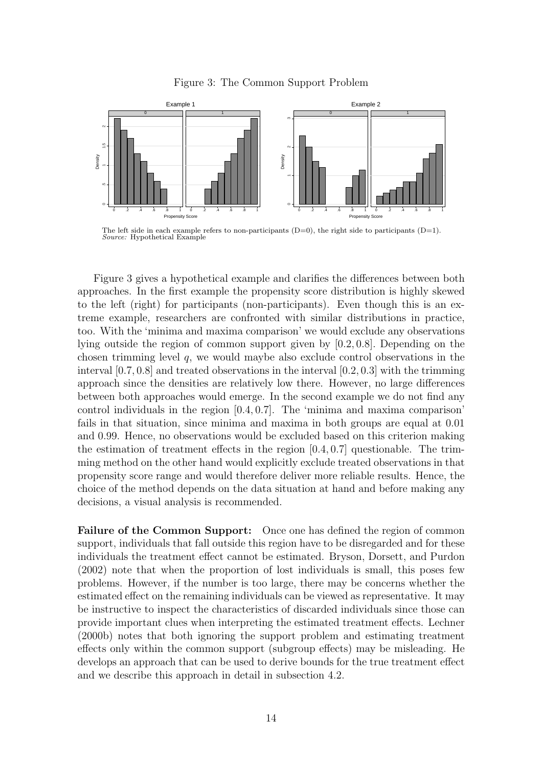



The left side in each example refers to non-participants  $(D=0)$ , the right side to participants  $(D=1)$ . Source: Hypothetical Example

Figure 3 gives a hypothetical example and clarifies the differences between both approaches. In the first example the propensity score distribution is highly skewed to the left (right) for participants (non-participants). Even though this is an extreme example, researchers are confronted with similar distributions in practice, too. With the 'minima and maxima comparison' we would exclude any observations lying outside the region of common support given by [0.2, 0.8]. Depending on the chosen trimming level q, we would maybe also exclude control observations in the interval  $[0.7, 0.8]$  and treated observations in the interval  $[0.2, 0.3]$  with the trimming approach since the densities are relatively low there. However, no large differences between both approaches would emerge. In the second example we do not find any control individuals in the region [0.4, 0.7]. The 'minima and maxima comparison' fails in that situation, since minima and maxima in both groups are equal at 0.01 and 0.99. Hence, no observations would be excluded based on this criterion making the estimation of treatment effects in the region  $[0.4, 0.7]$  questionable. The trimming method on the other hand would explicitly exclude treated observations in that propensity score range and would therefore deliver more reliable results. Hence, the choice of the method depends on the data situation at hand and before making any decisions, a visual analysis is recommended.

Failure of the Common Support: Once one has defined the region of common support, individuals that fall outside this region have to be disregarded and for these individuals the treatment effect cannot be estimated. Bryson, Dorsett, and Purdon (2002) note that when the proportion of lost individuals is small, this poses few problems. However, if the number is too large, there may be concerns whether the estimated effect on the remaining individuals can be viewed as representative. It may be instructive to inspect the characteristics of discarded individuals since those can provide important clues when interpreting the estimated treatment effects. Lechner (2000b) notes that both ignoring the support problem and estimating treatment effects only within the common support (subgroup effects) may be misleading. He develops an approach that can be used to derive bounds for the true treatment effect and we describe this approach in detail in subsection 4.2.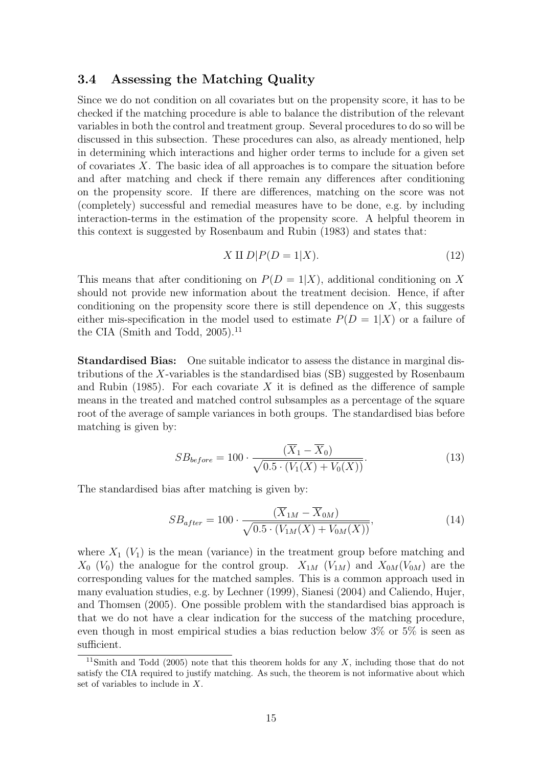#### 3.4 Assessing the Matching Quality

Since we do not condition on all covariates but on the propensity score, it has to be checked if the matching procedure is able to balance the distribution of the relevant variables in both the control and treatment group. Several procedures to do so will be discussed in this subsection. These procedures can also, as already mentioned, help in determining which interactions and higher order terms to include for a given set of covariates X. The basic idea of all approaches is to compare the situation before and after matching and check if there remain any differences after conditioning on the propensity score. If there are differences, matching on the score was not (completely) successful and remedial measures have to be done, e.g. by including interaction-terms in the estimation of the propensity score. A helpful theorem in this context is suggested by Rosenbaum and Rubin (1983) and states that:

$$
X \amalg D|P(D=1|X). \tag{12}
$$

This means that after conditioning on  $P(D = 1|X)$ , additional conditioning on X should not provide new information about the treatment decision. Hence, if after conditioning on the propensity score there is still dependence on  $X$ , this suggests either mis-specification in the model used to estimate  $P(D = 1|X)$  or a failure of the CIA (Smith and Todd,  $2005$ ).<sup>11</sup>

Standardised Bias: One suitable indicator to assess the distance in marginal distributions of the X-variables is the standardised bias  $(SB)$  suggested by Rosenbaum and Rubin (1985). For each covariate  $X$  it is defined as the difference of sample means in the treated and matched control subsamples as a percentage of the square root of the average of sample variances in both groups. The standardised bias before matching is given by:

$$
SB_{before} = 100 \cdot \frac{(\overline{X}_1 - \overline{X}_0)}{\sqrt{0.5 \cdot (V_1(X) + V_0(X))}}.
$$
 (13)

The standardised bias after matching is given by:

$$
SB_{after} = 100 \cdot \frac{(\overline{X}_{1M} - \overline{X}_{0M})}{\sqrt{0.5 \cdot (V_{1M}(X) + V_{0M}(X))}},
$$
\n(14)

where  $X_1$  ( $V_1$ ) is the mean (variance) in the treatment group before matching and  $X_0$  (V<sub>0</sub>) the analogue for the control group.  $X_{1M}$  (V<sub>1M</sub>) and  $X_{0M}(V_{0M})$  are the corresponding values for the matched samples. This is a common approach used in many evaluation studies, e.g. by Lechner (1999), Sianesi (2004) and Caliendo, Hujer, and Thomsen (2005). One possible problem with the standardised bias approach is that we do not have a clear indication for the success of the matching procedure, even though in most empirical studies a bias reduction below 3% or 5% is seen as sufficient.

<sup>&</sup>lt;sup>11</sup>Smith and Todd (2005) note that this theorem holds for any X, including those that do not satisfy the CIA required to justify matching. As such, the theorem is not informative about which set of variables to include in X.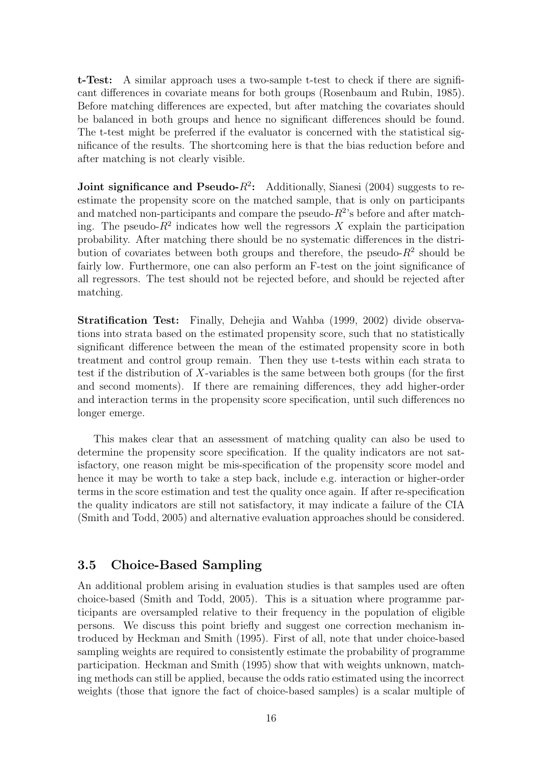t-Test: A similar approach uses a two-sample t-test to check if there are significant differences in covariate means for both groups (Rosenbaum and Rubin, 1985). Before matching differences are expected, but after matching the covariates should be balanced in both groups and hence no significant differences should be found. The t-test might be preferred if the evaluator is concerned with the statistical significance of the results. The shortcoming here is that the bias reduction before and after matching is not clearly visible.

**Joint significance and Pseudo-** $R^2$ : Additionally, Sianesi (2004) suggests to reestimate the propensity score on the matched sample, that is only on participants and matched non-participants and compare the pseudo- $R^2$ 's before and after matching. The pseudo- $R^2$  indicates how well the regressors X explain the participation probability. After matching there should be no systematic differences in the distribution of covariates between both groups and therefore, the pseudo- $R^2$  should be fairly low. Furthermore, one can also perform an F-test on the joint significance of all regressors. The test should not be rejected before, and should be rejected after matching.

Stratification Test: Finally, Dehejia and Wahba (1999, 2002) divide observations into strata based on the estimated propensity score, such that no statistically significant difference between the mean of the estimated propensity score in both treatment and control group remain. Then they use t-tests within each strata to test if the distribution of X-variables is the same between both groups (for the first and second moments). If there are remaining differences, they add higher-order and interaction terms in the propensity score specification, until such differences no longer emerge.

This makes clear that an assessment of matching quality can also be used to determine the propensity score specification. If the quality indicators are not satisfactory, one reason might be mis-specification of the propensity score model and hence it may be worth to take a step back, include e.g. interaction or higher-order terms in the score estimation and test the quality once again. If after re-specification the quality indicators are still not satisfactory, it may indicate a failure of the CIA (Smith and Todd, 2005) and alternative evaluation approaches should be considered.

#### 3.5 Choice-Based Sampling

An additional problem arising in evaluation studies is that samples used are often choice-based (Smith and Todd, 2005). This is a situation where programme participants are oversampled relative to their frequency in the population of eligible persons. We discuss this point briefly and suggest one correction mechanism introduced by Heckman and Smith (1995). First of all, note that under choice-based sampling weights are required to consistently estimate the probability of programme participation. Heckman and Smith (1995) show that with weights unknown, matching methods can still be applied, because the odds ratio estimated using the incorrect weights (those that ignore the fact of choice-based samples) is a scalar multiple of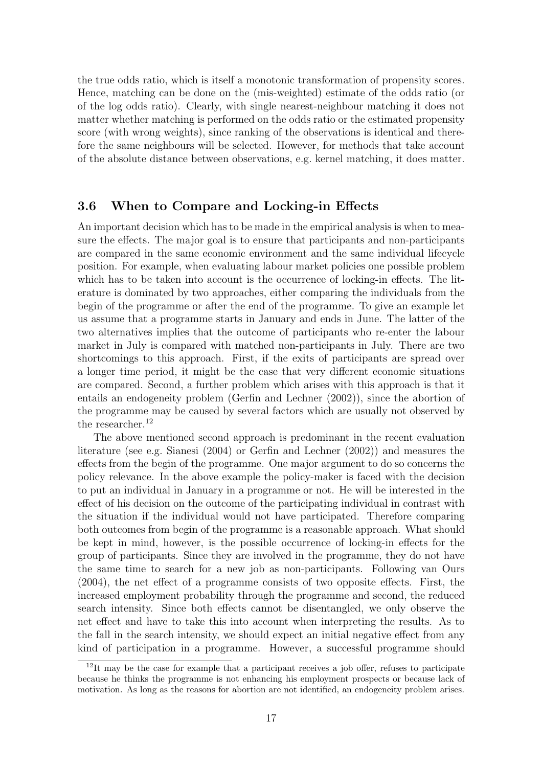the true odds ratio, which is itself a monotonic transformation of propensity scores. Hence, matching can be done on the (mis-weighted) estimate of the odds ratio (or of the log odds ratio). Clearly, with single nearest-neighbour matching it does not matter whether matching is performed on the odds ratio or the estimated propensity score (with wrong weights), since ranking of the observations is identical and therefore the same neighbours will be selected. However, for methods that take account of the absolute distance between observations, e.g. kernel matching, it does matter.

#### 3.6 When to Compare and Locking-in Effects

An important decision which has to be made in the empirical analysis is when to measure the effects. The major goal is to ensure that participants and non-participants are compared in the same economic environment and the same individual lifecycle position. For example, when evaluating labour market policies one possible problem which has to be taken into account is the occurrence of locking-in effects. The literature is dominated by two approaches, either comparing the individuals from the begin of the programme or after the end of the programme. To give an example let us assume that a programme starts in January and ends in June. The latter of the two alternatives implies that the outcome of participants who re-enter the labour market in July is compared with matched non-participants in July. There are two shortcomings to this approach. First, if the exits of participants are spread over a longer time period, it might be the case that very different economic situations are compared. Second, a further problem which arises with this approach is that it entails an endogeneity problem (Gerfin and Lechner (2002)), since the abortion of the programme may be caused by several factors which are usually not observed by the researcher.<sup>12</sup>

The above mentioned second approach is predominant in the recent evaluation literature (see e.g. Sianesi (2004) or Gerfin and Lechner (2002)) and measures the effects from the begin of the programme. One major argument to do so concerns the policy relevance. In the above example the policy-maker is faced with the decision to put an individual in January in a programme or not. He will be interested in the effect of his decision on the outcome of the participating individual in contrast with the situation if the individual would not have participated. Therefore comparing both outcomes from begin of the programme is a reasonable approach. What should be kept in mind, however, is the possible occurrence of locking-in effects for the group of participants. Since they are involved in the programme, they do not have the same time to search for a new job as non-participants. Following van Ours (2004), the net effect of a programme consists of two opposite effects. First, the increased employment probability through the programme and second, the reduced search intensity. Since both effects cannot be disentangled, we only observe the net effect and have to take this into account when interpreting the results. As to the fall in the search intensity, we should expect an initial negative effect from any kind of participation in a programme. However, a successful programme should

<sup>&</sup>lt;sup>12</sup>It may be the case for example that a participant receives a job offer, refuses to participate because he thinks the programme is not enhancing his employment prospects or because lack of motivation. As long as the reasons for abortion are not identified, an endogeneity problem arises.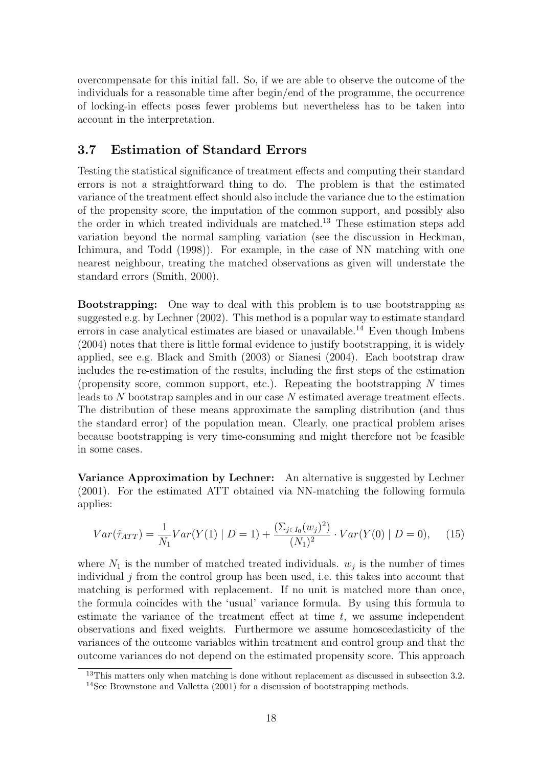overcompensate for this initial fall. So, if we are able to observe the outcome of the individuals for a reasonable time after begin/end of the programme, the occurrence of locking-in effects poses fewer problems but nevertheless has to be taken into account in the interpretation.

#### 3.7 Estimation of Standard Errors

Testing the statistical significance of treatment effects and computing their standard errors is not a straightforward thing to do. The problem is that the estimated variance of the treatment effect should also include the variance due to the estimation of the propensity score, the imputation of the common support, and possibly also the order in which treated individuals are matched.<sup>13</sup> These estimation steps add variation beyond the normal sampling variation (see the discussion in Heckman, Ichimura, and Todd (1998)). For example, in the case of NN matching with one nearest neighbour, treating the matched observations as given will understate the standard errors (Smith, 2000).

Bootstrapping: One way to deal with this problem is to use bootstrapping as suggested e.g. by Lechner (2002). This method is a popular way to estimate standard errors in case analytical estimates are biased or unavailable.<sup>14</sup> Even though Imbens (2004) notes that there is little formal evidence to justify bootstrapping, it is widely applied, see e.g. Black and Smith (2003) or Sianesi (2004). Each bootstrap draw includes the re-estimation of the results, including the first steps of the estimation (propensity score, common support, etc.). Repeating the bootstrapping  $N$  times leads to N bootstrap samples and in our case N estimated average treatment effects. The distribution of these means approximate the sampling distribution (and thus the standard error) of the population mean. Clearly, one practical problem arises because bootstrapping is very time-consuming and might therefore not be feasible in some cases.

Variance Approximation by Lechner: An alternative is suggested by Lechner (2001). For the estimated ATT obtained via NN-matching the following formula applies:

$$
Var(\hat{\tau}_{ATT}) = \frac{1}{N_1} Var(Y(1) | D = 1) + \frac{(\Sigma_{j \in I_0}(w_j)^2)}{(N_1)^2} \cdot Var(Y(0) | D = 0), \quad (15)
$$

where  $N_1$  is the number of matched treated individuals.  $w_j$  is the number of times individual j from the control group has been used, i.e. this takes into account that matching is performed with replacement. If no unit is matched more than once, the formula coincides with the 'usual' variance formula. By using this formula to estimate the variance of the treatment effect at time  $t$ , we assume independent observations and fixed weights. Furthermore we assume homoscedasticity of the variances of the outcome variables within treatment and control group and that the outcome variances do not depend on the estimated propensity score. This approach

 $13$ This matters only when matching is done without replacement as discussed in subsection 3.2.  $14$ See Brownstone and Valletta (2001) for a discussion of bootstrapping methods.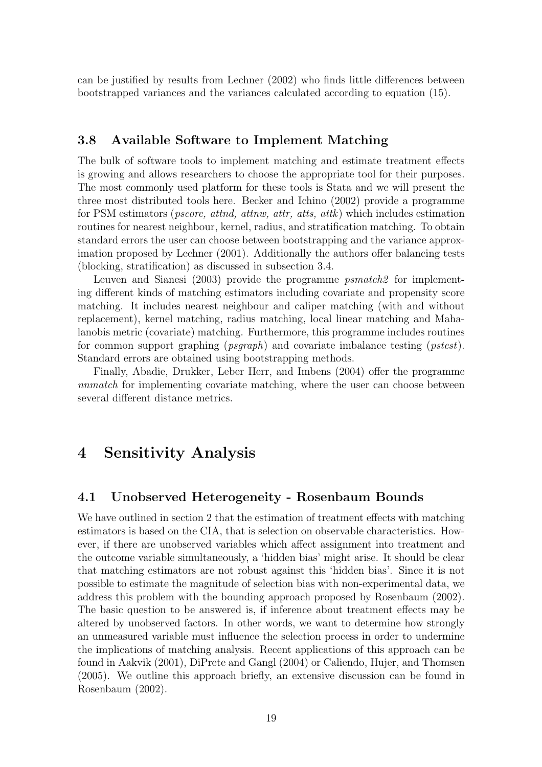can be justified by results from Lechner (2002) who finds little differences between bootstrapped variances and the variances calculated according to equation (15).

#### 3.8 Available Software to Implement Matching

The bulk of software tools to implement matching and estimate treatment effects is growing and allows researchers to choose the appropriate tool for their purposes. The most commonly used platform for these tools is Stata and we will present the three most distributed tools here. Becker and Ichino (2002) provide a programme for PSM estimators (*pscore, attnd, attnw, attr, atts, attk*) which includes estimation routines for nearest neighbour, kernel, radius, and stratification matching. To obtain standard errors the user can choose between bootstrapping and the variance approximation proposed by Lechner (2001). Additionally the authors offer balancing tests (blocking, stratification) as discussed in subsection 3.4.

Leuven and Sianesi (2003) provide the programme *psmatch*<sup>2</sup> for implementing different kinds of matching estimators including covariate and propensity score matching. It includes nearest neighbour and caliper matching (with and without replacement), kernel matching, radius matching, local linear matching and Mahalanobis metric (covariate) matching. Furthermore, this programme includes routines for common support graphing (psgraph) and covariate imbalance testing (pstest). Standard errors are obtained using bootstrapping methods.

Finally, Abadie, Drukker, Leber Herr, and Imbens (2004) offer the programme nnmatch for implementing covariate matching, where the user can choose between several different distance metrics.

### 4 Sensitivity Analysis

#### 4.1 Unobserved Heterogeneity - Rosenbaum Bounds

We have outlined in section 2 that the estimation of treatment effects with matching estimators is based on the CIA, that is selection on observable characteristics. However, if there are unobserved variables which affect assignment into treatment and the outcome variable simultaneously, a 'hidden bias' might arise. It should be clear that matching estimators are not robust against this 'hidden bias'. Since it is not possible to estimate the magnitude of selection bias with non-experimental data, we address this problem with the bounding approach proposed by Rosenbaum (2002). The basic question to be answered is, if inference about treatment effects may be altered by unobserved factors. In other words, we want to determine how strongly an unmeasured variable must influence the selection process in order to undermine the implications of matching analysis. Recent applications of this approach can be found in Aakvik (2001), DiPrete and Gangl (2004) or Caliendo, Hujer, and Thomsen (2005). We outline this approach briefly, an extensive discussion can be found in Rosenbaum (2002).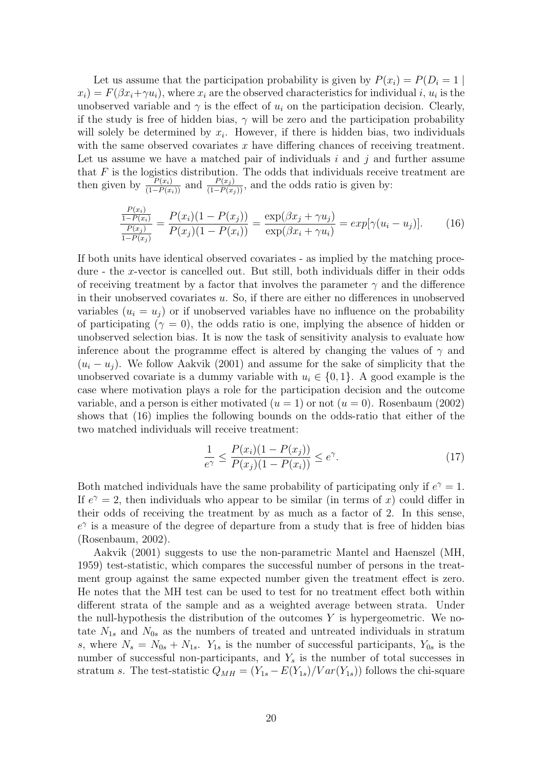Let us assume that the participation probability is given by  $P(x_i) = P(D_i = 1 |$  $x_i$ ) =  $F(\beta x_i + \gamma u_i)$ , where  $x_i$  are the observed characteristics for individual i,  $u_i$  is the unobserved variable and  $\gamma$  is the effect of  $u_i$  on the participation decision. Clearly, if the study is free of hidden bias,  $\gamma$  will be zero and the participation probability will solely be determined by  $x_i$ . However, if there is hidden bias, two individuals with the same observed covariates  $x$  have differing chances of receiving treatment. Let us assume we have a matched pair of individuals  $i$  and  $j$  and further assume that  $F$  is the logistics distribution. The odds that individuals receive treatment are then given by  $\frac{P(x_i)}{(1-P(x_i))}$  and  $\frac{P(x_j)}{(1-P(x_j))}$ , and the odds ratio is given by:

$$
\frac{\frac{P(x_i)}{1 - P(x_i)}}{\frac{P(x_j)}{1 - P(x_j)}} = \frac{P(x_i)(1 - P(x_j))}{P(x_j)(1 - P(x_i))} = \frac{\exp(\beta x_j + \gamma u_j)}{\exp(\beta x_i + \gamma u_i)} = \exp[\gamma(u_i - u_j)].\tag{16}
$$

If both units have identical observed covariates - as implied by the matching procedure - the x-vector is cancelled out. But still, both individuals differ in their odds of receiving treatment by a factor that involves the parameter  $\gamma$  and the difference in their unobserved covariates  $u$ . So, if there are either no differences in unobserved variables  $(u_i = u_j)$  or if unobserved variables have no influence on the probability of participating ( $\gamma = 0$ ), the odds ratio is one, implying the absence of hidden or unobserved selection bias. It is now the task of sensitivity analysis to evaluate how inference about the programme effect is altered by changing the values of  $\gamma$  and  $(u_i - u_j)$ . We follow Aakvik (2001) and assume for the sake of simplicity that the unobserved covariate is a dummy variable with  $u_i \in \{0, 1\}$ . A good example is the case where motivation plays a role for the participation decision and the outcome variable, and a person is either motivated  $(u = 1)$  or not  $(u = 0)$ . Rosenbaum (2002) shows that (16) implies the following bounds on the odds-ratio that either of the two matched individuals will receive treatment:

$$
\frac{1}{e^{\gamma}} \le \frac{P(x_i)(1 - P(x_j))}{P(x_j)(1 - P(x_i))} \le e^{\gamma}.
$$
\n(17)

Both matched individuals have the same probability of participating only if  $e^{\gamma} = 1$ . If  $e^{\gamma} = 2$ , then individuals who appear to be similar (in terms of x) could differ in their odds of receiving the treatment by as much as a factor of 2. In this sense,  $e^{\gamma}$  is a measure of the degree of departure from a study that is free of hidden bias (Rosenbaum, 2002).

Aakvik (2001) suggests to use the non-parametric Mantel and Haenszel (MH, 1959) test-statistic, which compares the successful number of persons in the treatment group against the same expected number given the treatment effect is zero. He notes that the MH test can be used to test for no treatment effect both within different strata of the sample and as a weighted average between strata. Under the null-hypothesis the distribution of the outcomes  $Y$  is hypergeometric. We notate  $N_{1s}$  and  $N_{0s}$  as the numbers of treated and untreated individuals in stratum s, where  $N_s = N_{0s} + N_{1s}$ .  $Y_{1s}$  is the number of successful participants,  $Y_{0s}$  is the number of successful non-participants, and  $Y_s$  is the number of total successes in stratum s. The test-statistic  $Q_{MH} = (Y_{1s} - E(Y_{1s})/Var(Y_{1s}))$  follows the chi-square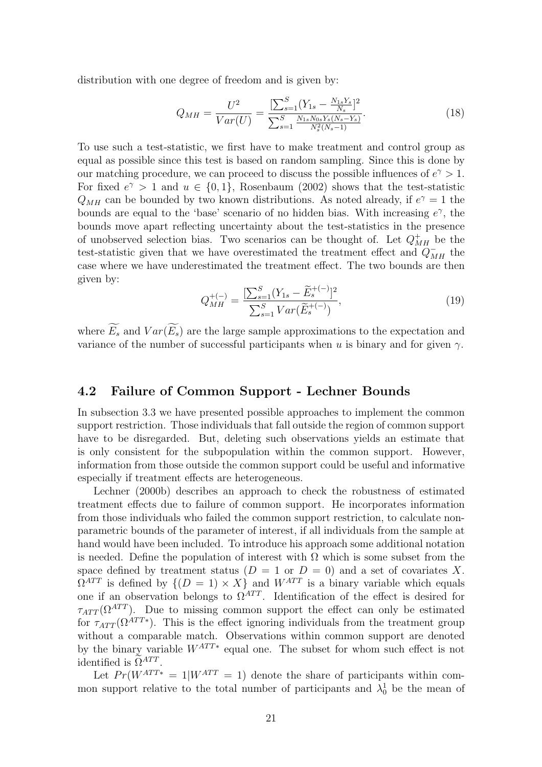distribution with one degree of freedom and is given by:

$$
Q_{MH} = \frac{U^2}{Var(U)} = \frac{\left[\sum_{s=1}^{S} (Y_{1s} - \frac{N_{1s}Y_s}{N_s}\right]^2}{\sum_{s=1}^{S} \frac{N_{1s}N_{0s}Y_s(N_s - Y_s)}{N_s^2(N_s - 1)}}.
$$
(18)

To use such a test-statistic, we first have to make treatment and control group as equal as possible since this test is based on random sampling. Since this is done by our matching procedure, we can proceed to discuss the possible influences of  $e^{\gamma} > 1$ . For fixed  $e^{\gamma} > 1$  and  $u \in \{0, 1\}$ , Rosenbaum (2002) shows that the test-statistic  $Q_{MH}$  can be bounded by two known distributions. As noted already, if  $e^{\gamma} = 1$  the bounds are equal to the 'base' scenario of no hidden bias. With increasing  $e^{\gamma}$ , the bounds move apart reflecting uncertainty about the test-statistics in the presence of unobserved selection bias. Two scenarios can be thought of. Let  $Q_{MH}^+$  be the test-statistic given that we have overestimated the treatment effect and  $\widetilde{Q}_{MH}^-$  the case where we have underestimated the treatment effect. The two bounds are then given by:

$$
Q_{MH}^{+(-)} = \frac{\left[\sum_{s=1}^{S} (Y_{1s} - \widetilde{E}_s^{+(-)}\right]^2}{\sum_{s=1}^{S} Var(\widetilde{E}_s^{+(-)})},\tag{19}
$$

where  $\widetilde{E_s}$  and  $Var(\widetilde{E_s})$  are the large sample approximations to the expectation and variance of the number of successful participants when u is binary and for given  $\gamma$ .

#### 4.2 Failure of Common Support - Lechner Bounds

In subsection 3.3 we have presented possible approaches to implement the common support restriction. Those individuals that fall outside the region of common support have to be disregarded. But, deleting such observations yields an estimate that is only consistent for the subpopulation within the common support. However, information from those outside the common support could be useful and informative especially if treatment effects are heterogeneous.

Lechner (2000b) describes an approach to check the robustness of estimated treatment effects due to failure of common support. He incorporates information from those individuals who failed the common support restriction, to calculate nonparametric bounds of the parameter of interest, if all individuals from the sample at hand would have been included. To introduce his approach some additional notation is needed. Define the population of interest with  $\Omega$  which is some subset from the space defined by treatment status  $(D = 1 \text{ or } D = 0)$  and a set of covariates X.  $\Omega^{ATT}$  is defined by  $\{(D = 1) \times X\}$  and  $W^{ATT}$  is a binary variable which equals one if an observation belongs to  $\Omega^{ATT}$ . Identification of the effect is desired for  $\tau_{ATT}(\Omega^{ATT})$ . Due to missing common support the effect can only be estimated for  $\tau_{ATT}(\Omega^{ATT*})$ . This is the effect ignoring individuals from the treatment group without a comparable match. Observations within common support are denoted by the binary variable  $W^{ATT*}$  equal one. The subset for whom such effect is not identified is  $\tilde{\Omega}^{ATT}$ .

Let  $Pr(W^{ATT*} = 1|W^{ATT} = 1)$  denote the share of participants within common support relative to the total number of participants and  $\lambda_0^1$  be the mean of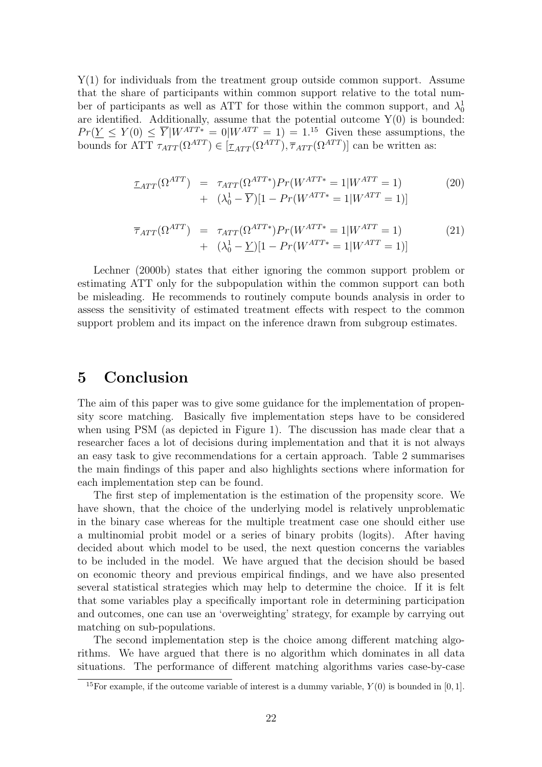Y(1) for individuals from the treatment group outside common support. Assume that the share of participants within common support relative to the total number of participants as well as ATT for those within the common support, and  $\lambda_0^1$ are identified. Additionally, assume that the potential outcome  $Y(0)$  is bounded:  $Pr(\underline{Y} \leq Y(0) \leq \overline{Y} | W^{ATT*} = 0 | W^{ATT} = 1) = 1^{15}$  Given these assumptions, the bounds for ATT  $\tau_{ATT}(\Omega^{ATT}) \in [\tau_{ATT}(\Omega^{ATT}), \overline{\tau}_{ATT}(\Omega^{ATT})]$  can be written as:

$$
\begin{aligned} \mathcal{I}_{ATT}(\Omega^{ATT}) &= \tau_{ATT}(\Omega^{ATT*}) Pr(W^{ATT*} = 1|W^{ATT} = 1) \\ &+ (\lambda_0^1 - \overline{Y})[1 - Pr(W^{ATT*} = 1|W^{ATT} = 1)] \end{aligned} \tag{20}
$$

$$
\overline{\tau}_{ATT}(\Omega^{ATT}) = \tau_{ATT}(\Omega^{ATT*}) Pr(W^{ATT*} = 1|W^{ATT} = 1)
$$
  
+  $(\lambda_0^1 - \underline{Y})[1 - Pr(W^{ATT*} = 1|W^{ATT} = 1)]$  (21)

Lechner (2000b) states that either ignoring the common support problem or estimating ATT only for the subpopulation within the common support can both be misleading. He recommends to routinely compute bounds analysis in order to assess the sensitivity of estimated treatment effects with respect to the common support problem and its impact on the inference drawn from subgroup estimates.

## 5 Conclusion

The aim of this paper was to give some guidance for the implementation of propensity score matching. Basically five implementation steps have to be considered when using PSM (as depicted in Figure 1). The discussion has made clear that a researcher faces a lot of decisions during implementation and that it is not always an easy task to give recommendations for a certain approach. Table 2 summarises the main findings of this paper and also highlights sections where information for each implementation step can be found.

The first step of implementation is the estimation of the propensity score. We have shown, that the choice of the underlying model is relatively unproblematic in the binary case whereas for the multiple treatment case one should either use a multinomial probit model or a series of binary probits (logits). After having decided about which model to be used, the next question concerns the variables to be included in the model. We have argued that the decision should be based on economic theory and previous empirical findings, and we have also presented several statistical strategies which may help to determine the choice. If it is felt that some variables play a specifically important role in determining participation and outcomes, one can use an 'overweighting' strategy, for example by carrying out matching on sub-populations.

The second implementation step is the choice among different matching algorithms. We have argued that there is no algorithm which dominates in all data situations. The performance of different matching algorithms varies case-by-case

<sup>&</sup>lt;sup>15</sup>For example, if the outcome variable of interest is a dummy variable,  $Y(0)$  is bounded in [0, 1].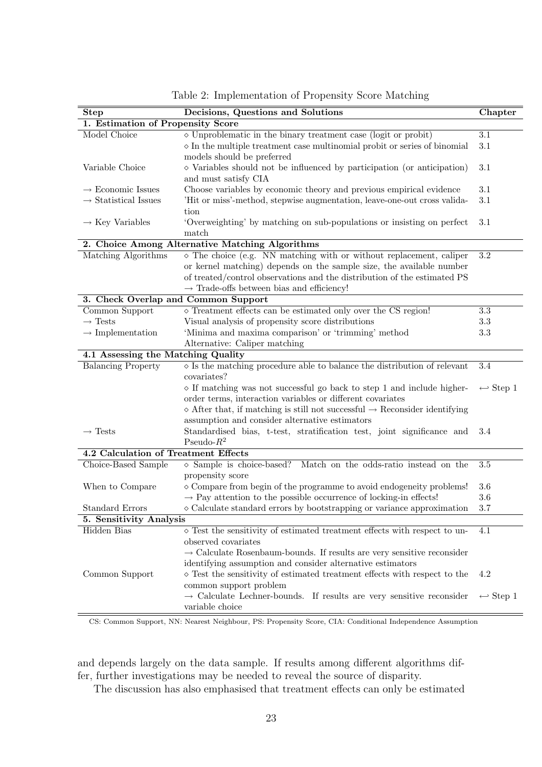| <b>Step</b>                                     | Decisions, Questions and Solutions                                                               | Chapter                  |  |  |
|-------------------------------------------------|--------------------------------------------------------------------------------------------------|--------------------------|--|--|
| 1. Estimation of Propensity Score               |                                                                                                  |                          |  |  |
| Model Choice                                    | $\diamond$ Unproblematic in the binary treatment case (logit or probit)                          | $\overline{3.1}$         |  |  |
|                                                 | $\diamond$ In the multiple treatment case multinomial probit or series of binomial               | 3.1                      |  |  |
|                                                 | models should be preferred                                                                       |                          |  |  |
| Variable Choice                                 | $\diamond$ Variables should not be influenced by participation (or anticipation)                 | 3.1                      |  |  |
|                                                 | and must satisfy CIA                                                                             |                          |  |  |
| $\rightarrow$ Economic Issues                   | Choose variables by economic theory and previous empirical evidence                              | 3.1                      |  |  |
| $\rightarrow$ Statistical Issues                | 'Hit or miss'-method, stepwise augmentation, leave-one-out cross valida-                         | 3.1                      |  |  |
|                                                 | tion                                                                                             |                          |  |  |
| $\rightarrow$ Key Variables                     | 'Overweighting' by matching on sub-populations or insisting on perfect                           | 3.1                      |  |  |
|                                                 | match                                                                                            |                          |  |  |
| 2. Choice Among Alternative Matching Algorithms |                                                                                                  |                          |  |  |
| Matching Algorithms                             | $\circ$ The choice (e.g. NN matching with or without replacement, caliper                        | $\overline{3.2}$         |  |  |
|                                                 | or kernel matching) depends on the sample size, the available number                             |                          |  |  |
|                                                 | of treated/control observations and the distribution of the estimated PS                         |                          |  |  |
|                                                 | $\rightarrow$ Trade-offs between bias and efficiency!                                            |                          |  |  |
| 3. Check Overlap and Common Support             |                                                                                                  |                          |  |  |
| Common Support                                  | $\diamond$ Treatment effects can be estimated only over the CS region!                           | $\overline{3.3}$         |  |  |
| $\rightarrow$ Tests                             | Visual analysis of propensity score distributions                                                | 3.3                      |  |  |
| $\rightarrow$ Implementation                    | 'Minima and maxima comparison' or 'trimming' method                                              | $\!3.3$                  |  |  |
|                                                 | Alternative: Caliper matching                                                                    |                          |  |  |
| 4.1 Assessing the Matching Quality              |                                                                                                  |                          |  |  |
| <b>Balancing Property</b>                       | $\diamond$ Is the matching procedure able to balance the distribution of relevant<br>covariates? | 3.4                      |  |  |
|                                                 | $\diamond$ If matching was not successful go back to step 1 and include higher-                  | $\leftrightarrow$ Step 1 |  |  |
|                                                 | order terms, interaction variables or different covariates                                       |                          |  |  |
|                                                 | $\diamond$ After that, if matching is still not successful $\rightarrow$ Reconsider identifying  |                          |  |  |
|                                                 | assumption and consider alternative estimators                                                   |                          |  |  |
| $\rightarrow$ Tests                             | Standardised bias, t-test, stratification test, joint significance and                           | 3.4                      |  |  |
|                                                 | Pseudo- $R^2$                                                                                    |                          |  |  |
| 4.2 Calculation of Treatment Effects            |                                                                                                  |                          |  |  |
| Choice-Based Sample                             | $\diamond$ Sample is choice-based? Match on the odds-ratio instead on the                        | 3.5                      |  |  |
|                                                 | propensity score                                                                                 |                          |  |  |
| When to Compare                                 | ◇ Compare from begin of the programme to avoid endogeneity problems!                             | 3.6                      |  |  |
|                                                 | $\rightarrow$ Pay attention to the possible occurrence of locking-in effects!                    | 3.6                      |  |  |
| <b>Standard Errors</b>                          | $\diamond$ Calculate standard errors by bootstrapping or variance approximation                  | 3.7                      |  |  |
| 5. Sensitivity Analysis                         |                                                                                                  |                          |  |  |
| Hidden Bias                                     | $\diamond$ Test the sensitivity of estimated treatment effects with respect to un-               | 4.1                      |  |  |
|                                                 | observed covariates                                                                              |                          |  |  |
|                                                 | $\rightarrow$ Calculate Rosenbaum-bounds. If results are very sensitive reconsider               |                          |  |  |
|                                                 | identifying assumption and consider alternative estimators                                       |                          |  |  |
| Common Support                                  | $\diamond$ Test the sensitivity of estimated treatment effects with respect to the               | 4.2                      |  |  |
|                                                 | common support problem                                                                           |                          |  |  |
|                                                 | $\rightarrow$ Calculate Lechner-bounds. If results are very sensitive reconsider                 | $\leftrightarrow$ Step 1 |  |  |
|                                                 | variable choice                                                                                  |                          |  |  |
|                                                 |                                                                                                  |                          |  |  |

Table 2: Implementation of Propensity Score Matching

CS: Common Support, NN: Nearest Neighbour, PS: Propensity Score, CIA: Conditional Independence Assumption

and depends largely on the data sample. If results among different algorithms differ, further investigations may be needed to reveal the source of disparity.

The discussion has also emphasised that treatment effects can only be estimated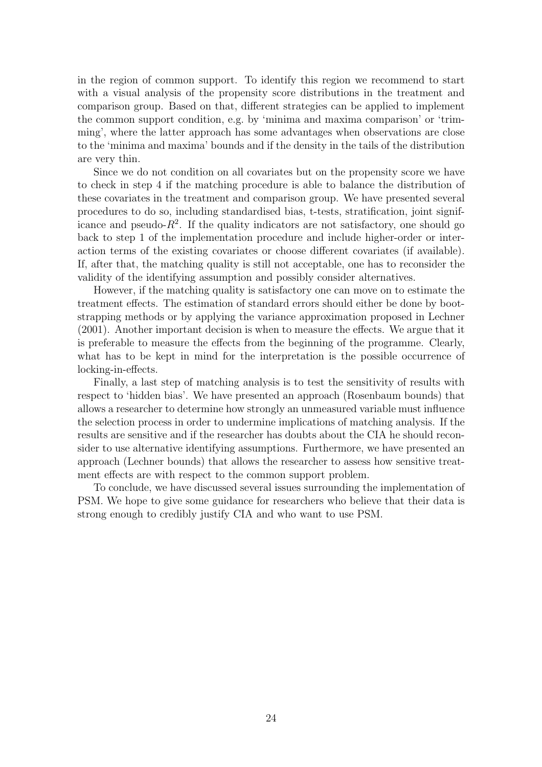in the region of common support. To identify this region we recommend to start with a visual analysis of the propensity score distributions in the treatment and comparison group. Based on that, different strategies can be applied to implement the common support condition, e.g. by 'minima and maxima comparison' or 'trimming', where the latter approach has some advantages when observations are close to the 'minima and maxima' bounds and if the density in the tails of the distribution are very thin.

Since we do not condition on all covariates but on the propensity score we have to check in step 4 if the matching procedure is able to balance the distribution of these covariates in the treatment and comparison group. We have presented several procedures to do so, including standardised bias, t-tests, stratification, joint significance and pseudo- $R^2$ . If the quality indicators are not satisfactory, one should go back to step 1 of the implementation procedure and include higher-order or interaction terms of the existing covariates or choose different covariates (if available). If, after that, the matching quality is still not acceptable, one has to reconsider the validity of the identifying assumption and possibly consider alternatives.

However, if the matching quality is satisfactory one can move on to estimate the treatment effects. The estimation of standard errors should either be done by bootstrapping methods or by applying the variance approximation proposed in Lechner (2001). Another important decision is when to measure the effects. We argue that it is preferable to measure the effects from the beginning of the programme. Clearly, what has to be kept in mind for the interpretation is the possible occurrence of locking-in-effects.

Finally, a last step of matching analysis is to test the sensitivity of results with respect to 'hidden bias'. We have presented an approach (Rosenbaum bounds) that allows a researcher to determine how strongly an unmeasured variable must influence the selection process in order to undermine implications of matching analysis. If the results are sensitive and if the researcher has doubts about the CIA he should reconsider to use alternative identifying assumptions. Furthermore, we have presented an approach (Lechner bounds) that allows the researcher to assess how sensitive treatment effects are with respect to the common support problem.

To conclude, we have discussed several issues surrounding the implementation of PSM. We hope to give some guidance for researchers who believe that their data is strong enough to credibly justify CIA and who want to use PSM.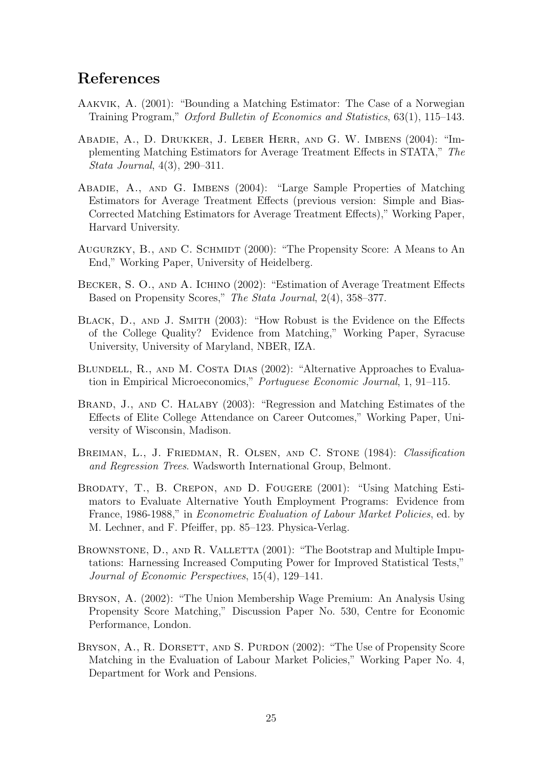# References

- Aakvik, A. (2001): "Bounding a Matching Estimator: The Case of a Norwegian Training Program," Oxford Bulletin of Economics and Statistics, 63(1), 115–143.
- Abadie, A., D. Drukker, J. Leber Herr, and G. W. Imbens (2004): "Implementing Matching Estimators for Average Treatment Effects in STATA," The Stata Journal, 4(3), 290–311.
- Abadie, A., and G. Imbens (2004): "Large Sample Properties of Matching Estimators for Average Treatment Effects (previous version: Simple and Bias-Corrected Matching Estimators for Average Treatment Effects)," Working Paper, Harvard University.
- AUGURZKY, B., AND C. SCHMIDT (2000): "The Propensity Score: A Means to An End," Working Paper, University of Heidelberg.
- Becker, S. O., and A. Ichino (2002): "Estimation of Average Treatment Effects Based on Propensity Scores," The Stata Journal, 2(4), 358–377.
- BLACK, D., AND J. SMITH (2003): "How Robust is the Evidence on the Effects of the College Quality? Evidence from Matching," Working Paper, Syracuse University, University of Maryland, NBER, IZA.
- BLUNDELL, R., AND M. COSTA DIAS (2002): "Alternative Approaches to Evaluation in Empirical Microeconomics," Portuguese Economic Journal, 1, 91–115.
- Brand, J., and C. Halaby (2003): "Regression and Matching Estimates of the Effects of Elite College Attendance on Career Outcomes," Working Paper, University of Wisconsin, Madison.
- BREIMAN, L., J. FRIEDMAN, R. OLSEN, AND C. STONE (1984): Classification and Regression Trees. Wadsworth International Group, Belmont.
- BRODATY, T., B. CREPON, AND D. FOUGERE (2001): "Using Matching Estimators to Evaluate Alternative Youth Employment Programs: Evidence from France, 1986-1988," in Econometric Evaluation of Labour Market Policies, ed. by M. Lechner, and F. Pfeiffer, pp. 85–123. Physica-Verlag.
- BROWNSTONE, D., AND R. VALLETTA (2001): "The Bootstrap and Multiple Imputations: Harnessing Increased Computing Power for Improved Statistical Tests," Journal of Economic Perspectives, 15(4), 129–141.
- Bryson, A. (2002): "The Union Membership Wage Premium: An Analysis Using Propensity Score Matching," Discussion Paper No. 530, Centre for Economic Performance, London.
- BRYSON, A., R. DORSETT, AND S. PURDON (2002): "The Use of Propensity Score Matching in the Evaluation of Labour Market Policies," Working Paper No. 4, Department for Work and Pensions.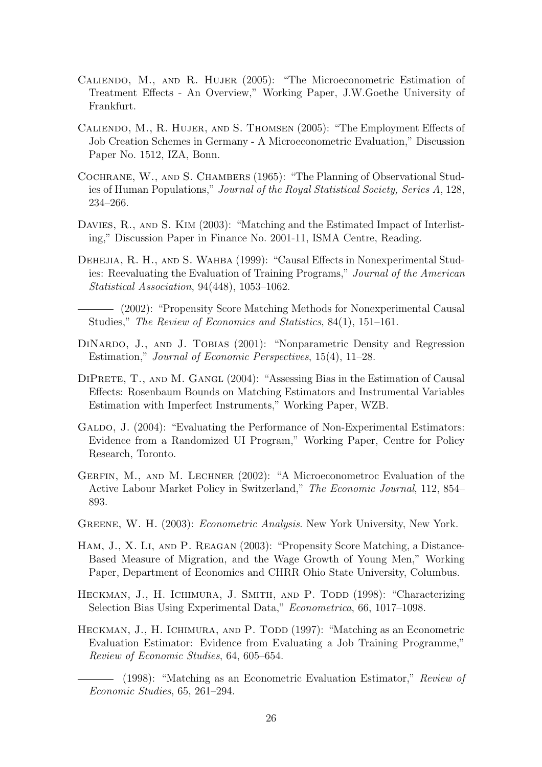- Caliendo, M., and R. Hujer (2005): "The Microeconometric Estimation of Treatment Effects - An Overview," Working Paper, J.W.Goethe University of Frankfurt.
- Caliendo, M., R. Hujer, and S. Thomsen (2005): "The Employment Effects of Job Creation Schemes in Germany - A Microeconometric Evaluation," Discussion Paper No. 1512, IZA, Bonn.
- Cochrane, W., and S. Chambers (1965): "The Planning of Observational Studies of Human Populations," Journal of the Royal Statistical Society, Series A, 128, 234–266.
- DAVIES, R., AND S. KIM (2003): "Matching and the Estimated Impact of Interlisting," Discussion Paper in Finance No. 2001-11, ISMA Centre, Reading.
- DEHEJIA, R. H., AND S. WAHBA (1999): "Causal Effects in Nonexperimental Studies: Reevaluating the Evaluation of Training Programs," Journal of the American Statistical Association, 94(448), 1053–1062.
- (2002): "Propensity Score Matching Methods for Nonexperimental Causal Studies," The Review of Economics and Statistics, 84(1), 151–161.
- DINARDO, J., AND J. TOBIAS (2001): "Nonparametric Density and Regression Estimation," Journal of Economic Perspectives, 15(4), 11–28.
- DIPRETE, T., AND M. GANGL (2004): "Assessing Bias in the Estimation of Causal Effects: Rosenbaum Bounds on Matching Estimators and Instrumental Variables Estimation with Imperfect Instruments," Working Paper, WZB.
- GALDO, J. (2004): "Evaluating the Performance of Non-Experimental Estimators: Evidence from a Randomized UI Program," Working Paper, Centre for Policy Research, Toronto.
- GERFIN, M., AND M. LECHNER (2002): "A Microeconometroc Evaluation of the Active Labour Market Policy in Switzerland," The Economic Journal, 112, 854– 893.
- GREENE, W. H. (2003): *Econometric Analysis*. New York University, New York.
- Ham, J., X. Li, and P. Reagan (2003): "Propensity Score Matching, a Distance-Based Measure of Migration, and the Wage Growth of Young Men," Working Paper, Department of Economics and CHRR Ohio State University, Columbus.
- HECKMAN, J., H. ICHIMURA, J. SMITH, AND P. TODD (1998): "Characterizing Selection Bias Using Experimental Data," Econometrica, 66, 1017–1098.
- HECKMAN, J., H. ICHIMURA, AND P. TODD (1997): "Matching as an Econometric Evaluation Estimator: Evidence from Evaluating a Job Training Programme," Review of Economic Studies, 64, 605–654.

<sup>(1998): &</sup>quot;Matching as an Econometric Evaluation Estimator," Review of Economic Studies, 65, 261–294.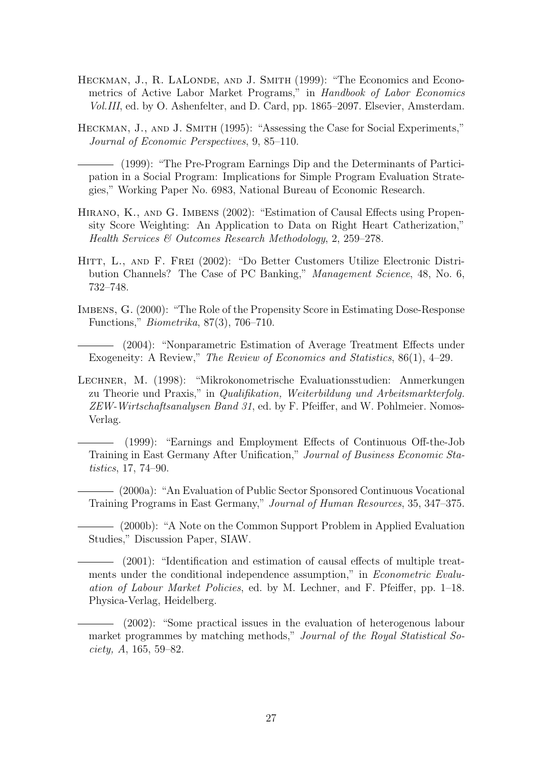- HECKMAN, J., R. LALONDE, AND J. SMITH (1999): "The Economics and Econometrics of Active Labor Market Programs," in Handbook of Labor Economics Vol.III, ed. by O. Ashenfelter, and D. Card, pp. 1865–2097. Elsevier, Amsterdam.
- HECKMAN, J., AND J. SMITH (1995): "Assessing the Case for Social Experiments," Journal of Economic Perspectives, 9, 85–110.

(1999): "The Pre-Program Earnings Dip and the Determinants of Participation in a Social Program: Implications for Simple Program Evaluation Strategies," Working Paper No. 6983, National Bureau of Economic Research.

- Hirano, K., and G. Imbens (2002): "Estimation of Causal Effects using Propensity Score Weighting: An Application to Data on Right Heart Catherization," Health Services & Outcomes Research Methodology, 2, 259–278.
- Hitt, L., and F. Frei (2002): "Do Better Customers Utilize Electronic Distribution Channels? The Case of PC Banking," Management Science, 48, No. 6, 732–748.
- Imbens, G. (2000): "The Role of the Propensity Score in Estimating Dose-Response Functions," Biometrika, 87(3), 706–710.

(2004): "Nonparametric Estimation of Average Treatment Effects under Exogeneity: A Review," The Review of Economics and Statistics, 86(1), 4–29.

Lechner, M. (1998): "Mikrokonometrische Evaluationsstudien: Anmerkungen zu Theorie und Praxis," in Qualifikation, Weiterbildung und Arbeitsmarkterfolg. ZEW-Wirtschaftsanalysen Band 31, ed. by F. Pfeiffer, and W. Pohlmeier. Nomos-Verlag.

(1999): "Earnings and Employment Effects of Continuous Off-the-Job Training in East Germany After Unification," Journal of Business Economic Statistics, 17, 74–90.

(2000a): "An Evaluation of Public Sector Sponsored Continuous Vocational Training Programs in East Germany," Journal of Human Resources, 35, 347–375.

(2000b): "A Note on the Common Support Problem in Applied Evaluation Studies," Discussion Paper, SIAW.

(2001): "Identification and estimation of causal effects of multiple treatments under the conditional independence assumption," in *Econometric Evalu*ation of Labour Market Policies, ed. by M. Lechner, and F. Pfeiffer, pp. 1–18. Physica-Verlag, Heidelberg.

(2002): "Some practical issues in the evaluation of heterogenous labour market programmes by matching methods," Journal of the Royal Statistical Society, A, 165, 59–82.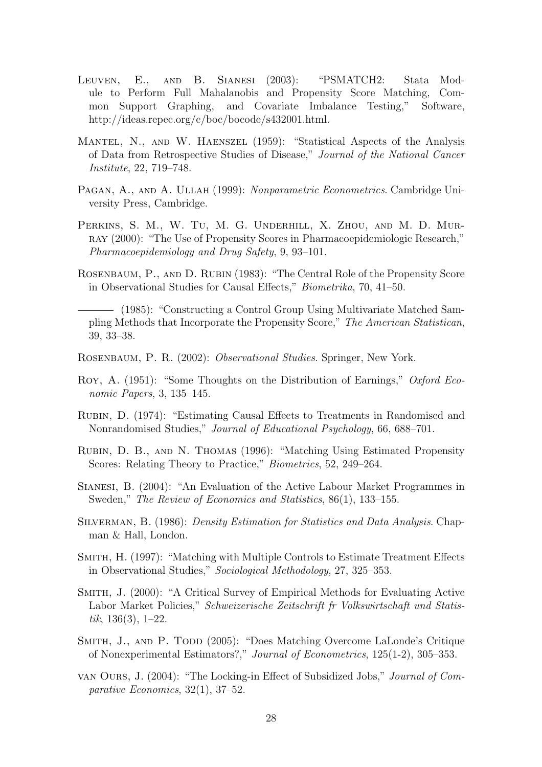- LEUVEN, E., AND B. SIANESI (2003): "PSMATCH2: Stata Module to Perform Full Mahalanobis and Propensity Score Matching, Common Support Graphing, and Covariate Imbalance Testing," Software, http://ideas.repec.org/c/boc/bocode/s432001.html.
- Mantel, N., and W. Haenszel (1959): "Statistical Aspects of the Analysis of Data from Retrospective Studies of Disease," Journal of the National Cancer Institute, 22, 719–748.
- PAGAN, A., AND A. ULLAH (1999): Nonparametric Econometrics. Cambridge University Press, Cambridge.
- PERKINS, S. M., W. TU, M. G. UNDERHILL, X. ZHOU, AND M. D. MURray (2000): "The Use of Propensity Scores in Pharmacoepidemiologic Research," Pharmacoepidemiology and Drug Safety, 9, 93–101.
- Rosenbaum, P., and D. Rubin (1983): "The Central Role of the Propensity Score in Observational Studies for Causal Effects," Biometrika, 70, 41–50.

(1985): "Constructing a Control Group Using Multivariate Matched Sampling Methods that Incorporate the Propensity Score," The American Statistican, 39, 33–38.

- Rosenbaum, P. R. (2002): Observational Studies. Springer, New York.
- Roy, A. (1951): "Some Thoughts on the Distribution of Earnings," Oxford Economic Papers, 3, 135–145.
- Rubin, D. (1974): "Estimating Causal Effects to Treatments in Randomised and Nonrandomised Studies," Journal of Educational Psychology, 66, 688–701.
- Rubin, D. B., and N. Thomas (1996): "Matching Using Estimated Propensity Scores: Relating Theory to Practice," *Biometrics*, 52, 249–264.
- Sianesi, B. (2004): "An Evaluation of the Active Labour Market Programmes in Sweden," The Review of Economics and Statistics, 86(1), 133–155.
- Silverman, B. (1986): Density Estimation for Statistics and Data Analysis. Chapman & Hall, London.
- Smith, H. (1997): "Matching with Multiple Controls to Estimate Treatment Effects in Observational Studies," Sociological Methodology, 27, 325–353.
- Smith, J. (2000): "A Critical Survey of Empirical Methods for Evaluating Active Labor Market Policies," Schweizerische Zeitschrift fr Volkswirtschaft und Statistik, 136(3), 1–22.
- SMITH, J., AND P. TODD (2005): "Does Matching Overcome LaLonde's Critique of Nonexperimental Estimators?," Journal of Econometrics, 125(1-2), 305–353.
- van Ours, J. (2004): "The Locking-in Effect of Subsidized Jobs," Journal of Comparative Economics, 32(1), 37–52.